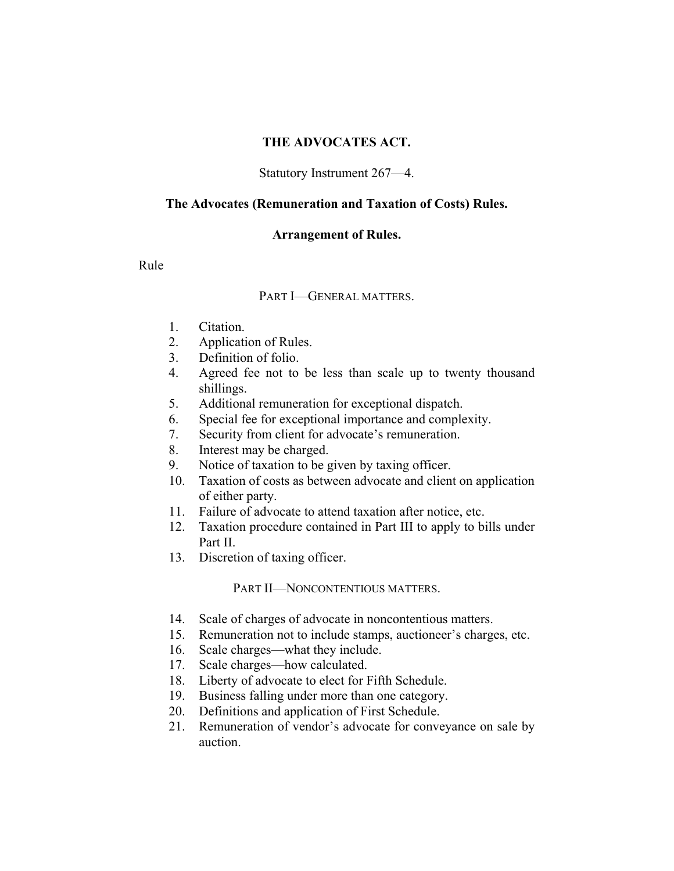#### **THE ADVOCATES ACT.**

#### Statutory Instrument 267—4.

#### **The Advocates (Remuneration and Taxation of Costs) Rules.**

#### **Arrangement of Rules.**

Rule

#### PART I—GENERAL MATTERS.

- 1. Citation.
- 2. Application of Rules.
- 3. Definition of folio.
- 4. Agreed fee not to be less than scale up to twenty thousand shillings.
- 5. Additional remuneration for exceptional dispatch.
- 6. Special fee for exceptional importance and complexity.
- 7. Security from client for advocate's remuneration.
- 8. Interest may be charged.
- 9. Notice of taxation to be given by taxing officer.
- 10. Taxation of costs as between advocate and client on application of either party.
- 11. Failure of advocate to attend taxation after notice, etc.
- 12. Taxation procedure contained in Part III to apply to bills under Part II.
- 13. Discretion of taxing officer.

#### PART II—NONCONTENTIOUS MATTERS.

- 14. Scale of charges of advocate in noncontentious matters.
- 15. Remuneration not to include stamps, auctioneer's charges, etc.
- 16. Scale charges—what they include.
- 17. Scale charges—how calculated.
- 18. Liberty of advocate to elect for Fifth Schedule.
- 19. Business falling under more than one category.
- 20. Definitions and application of First Schedule.
- 21. Remuneration of vendor's advocate for conveyance on sale by auction.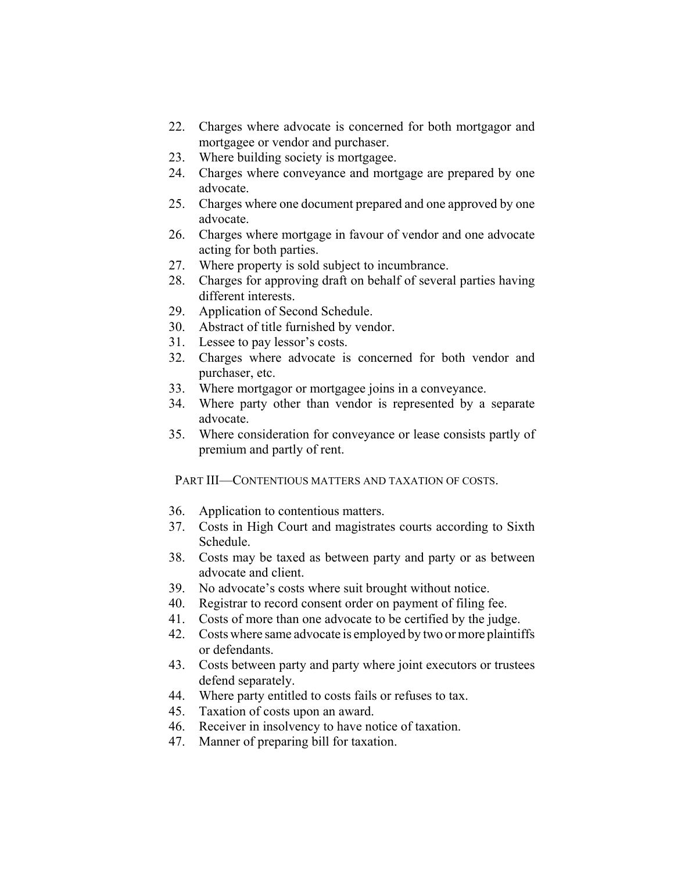- 22. Charges where advocate is concerned for both mortgagor and mortgagee or vendor and purchaser.
- 23. Where building society is mortgagee.
- 24. Charges where conveyance and mortgage are prepared by one advocate.
- 25. Charges where one document prepared and one approved by one advocate.
- 26. Charges where mortgage in favour of vendor and one advocate acting for both parties.
- 27. Where property is sold subject to incumbrance.
- 28. Charges for approving draft on behalf of several parties having different interests.
- 29. Application of Second Schedule.
- 30. Abstract of title furnished by vendor.
- 31. Lessee to pay lessor's costs.
- 32. Charges where advocate is concerned for both vendor and purchaser, etc.
- 33. Where mortgagor or mortgagee joins in a conveyance.
- 34. Where party other than vendor is represented by a separate advocate.
- 35. Where consideration for conveyance or lease consists partly of premium and partly of rent.

PART III—CONTENTIOUS MATTERS AND TAXATION OF COSTS.

- 36. Application to contentious matters.
- 37. Costs in High Court and magistrates courts according to Sixth Schedule.
- 38. Costs may be taxed as between party and party or as between advocate and client.
- 39. No advocate's costs where suit brought without notice.
- 40. Registrar to record consent order on payment of filing fee.
- 41. Costs of more than one advocate to be certified by the judge.
- 42. Costs where same advocate is employed by two or more plaintiffs or defendants.
- 43. Costs between party and party where joint executors or trustees defend separately.
- 44. Where party entitled to costs fails or refuses to tax.
- 45. Taxation of costs upon an award.
- 46. Receiver in insolvency to have notice of taxation.
- 47. Manner of preparing bill for taxation.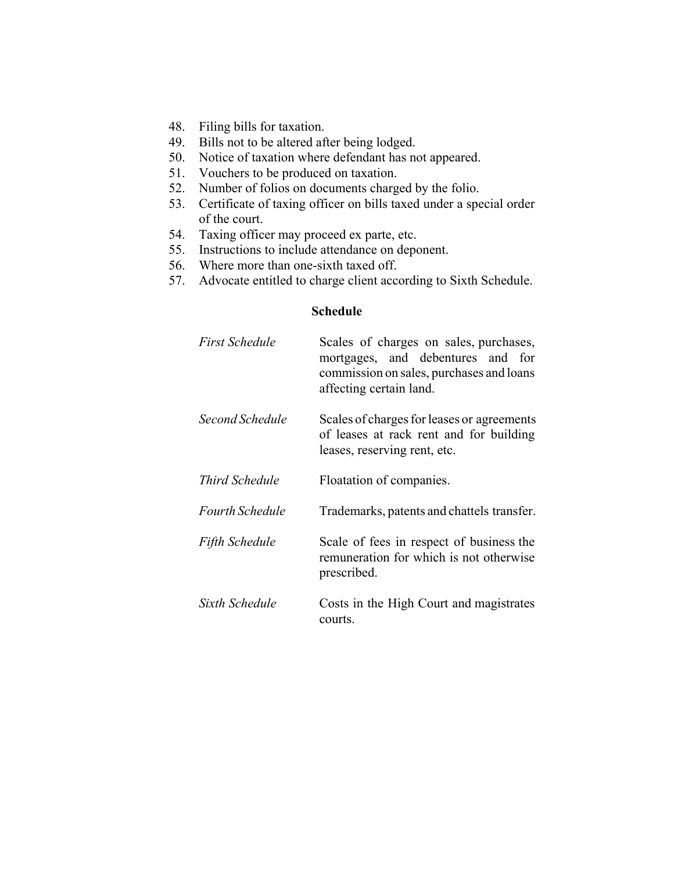- 48. Filing bills for taxation.
- 49. Bills not to be altered after being lodged.
- 50. Notice of taxation where defendant has not appeared.
- 51. Vouchers to be produced on taxation.
- 52. Number of folios on documents charged by the folio.
- 53. Certificate of taxing officer on bills taxed under a special order of the court.
- 54. Taxing officer may proceed ex parte, etc.
- 55. Instructions to include attendance on deponent.
- 56. Where more than one-sixth taxed off.
- 57. Advocate entitled to charge client according to Sixth Schedule.

#### **Schedule**

| First Schedule  | Scales of charges on sales, purchases,<br>mortgages, and debentures and for<br>commission on sales, purchases and loans<br>affecting certain land. |
|-----------------|----------------------------------------------------------------------------------------------------------------------------------------------------|
| Second Schedule | Scales of charges for leases or agreements<br>of leases at rack rent and for building<br>leases, reserving rent, etc.                              |
| Third Schedule  | Floatation of companies.                                                                                                                           |
| Fourth Schedule | Trademarks, patents and chattels transfer.                                                                                                         |
| Fifth Schedule  | Scale of fees in respect of business the<br>remuneration for which is not otherwise<br>prescribed.                                                 |
| Sixth Schedule  | Costs in the High Court and magistrates<br>courts.                                                                                                 |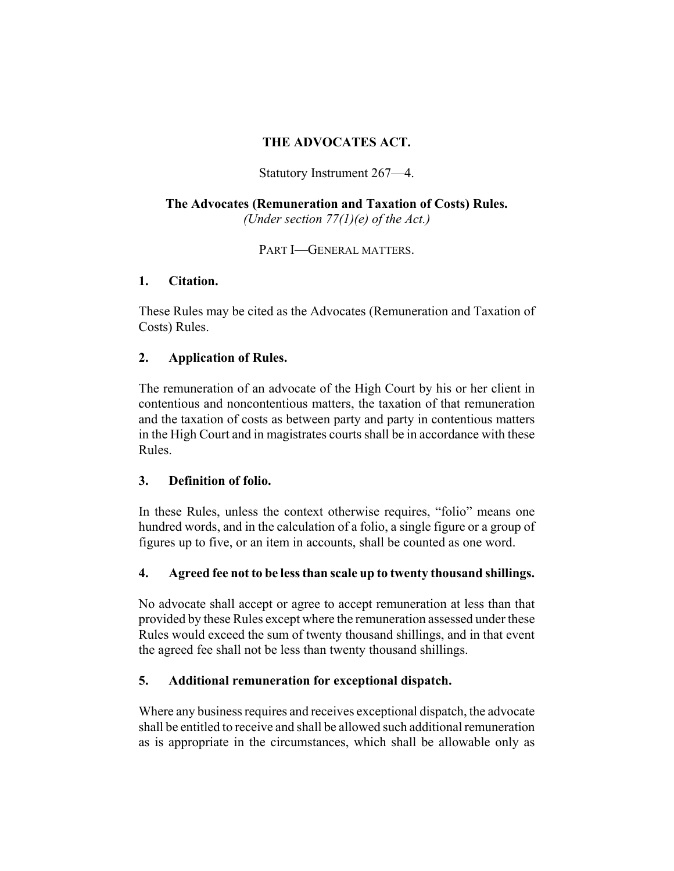# **THE ADVOCATES ACT.**

Statutory Instrument 267—4.

## **The Advocates (Remuneration and Taxation of Costs) Rules.** *(Under section 77(1)(e) of the Act.)*

PART **I**-GENERAL MATTERS.

### **1. Citation.**

These Rules may be cited as the Advocates (Remuneration and Taxation of Costs) Rules.

## **2. Application of Rules.**

The remuneration of an advocate of the High Court by his or her client in contentious and noncontentious matters, the taxation of that remuneration and the taxation of costs as between party and party in contentious matters in the High Court and in magistrates courts shall be in accordance with these Rules.

## **3. Definition of folio.**

In these Rules, unless the context otherwise requires, "folio" means one hundred words, and in the calculation of a folio, a single figure or a group of figures up to five, or an item in accounts, shall be counted as one word.

## **4. Agreed fee not to be less than scale up to twenty thousand shillings.**

No advocate shall accept or agree to accept remuneration at less than that provided by these Rules except where the remuneration assessed under these Rules would exceed the sum of twenty thousand shillings, and in that event the agreed fee shall not be less than twenty thousand shillings.

## **5. Additional remuneration for exceptional dispatch.**

Where any business requires and receives exceptional dispatch, the advocate shall be entitled to receive and shall be allowed such additional remuneration as is appropriate in the circumstances, which shall be allowable only as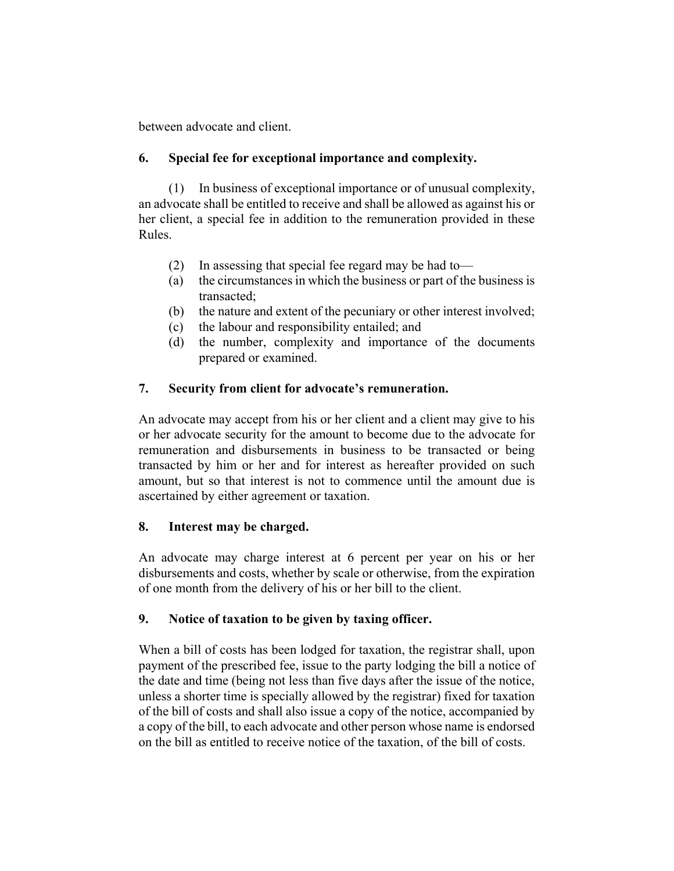between advocate and client.

## **6. Special fee for exceptional importance and complexity.**

(1) In business of exceptional importance or of unusual complexity, an advocate shall be entitled to receive and shall be allowed as against his or her client, a special fee in addition to the remuneration provided in these Rules.

- (2) In assessing that special fee regard may be had to—
- (a) the circumstances in which the business or part of the business is transacted;
- (b) the nature and extent of the pecuniary or other interest involved;
- (c) the labour and responsibility entailed; and
- (d) the number, complexity and importance of the documents prepared or examined.

# **7. Security from client for advocate's remuneration.**

An advocate may accept from his or her client and a client may give to his or her advocate security for the amount to become due to the advocate for remuneration and disbursements in business to be transacted or being transacted by him or her and for interest as hereafter provided on such amount, but so that interest is not to commence until the amount due is ascertained by either agreement or taxation.

## **8. Interest may be charged.**

An advocate may charge interest at 6 percent per year on his or her disbursements and costs, whether by scale or otherwise, from the expiration of one month from the delivery of his or her bill to the client.

## **9. Notice of taxation to be given by taxing officer.**

When a bill of costs has been lodged for taxation, the registrar shall, upon payment of the prescribed fee, issue to the party lodging the bill a notice of the date and time (being not less than five days after the issue of the notice, unless a shorter time is specially allowed by the registrar) fixed for taxation of the bill of costs and shall also issue a copy of the notice, accompanied by a copy of the bill, to each advocate and other person whose name is endorsed on the bill as entitled to receive notice of the taxation, of the bill of costs.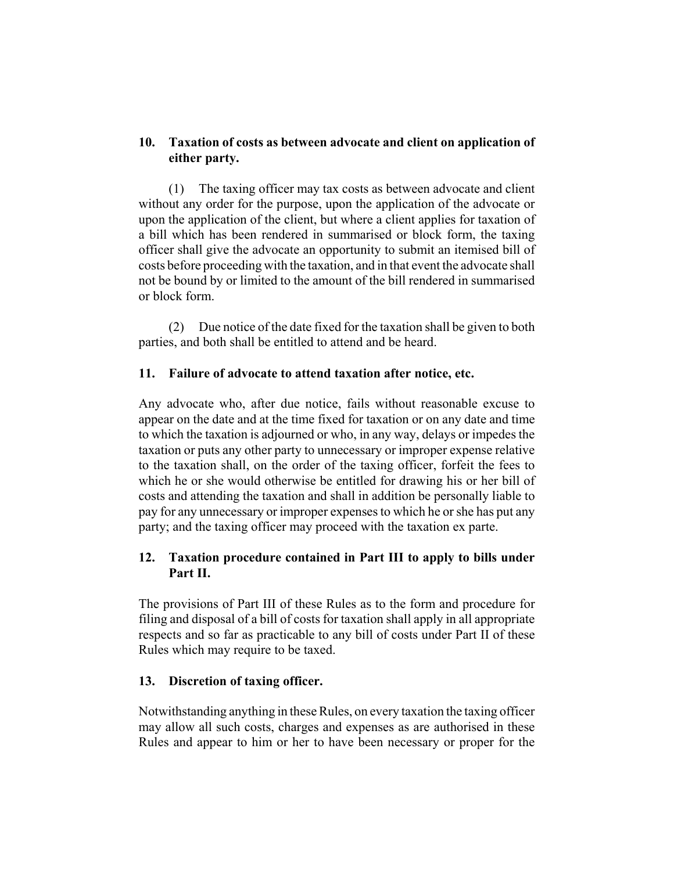### **10. Taxation of costs as between advocate and client on application of either party.**

(1) The taxing officer may tax costs as between advocate and client without any order for the purpose, upon the application of the advocate or upon the application of the client, but where a client applies for taxation of a bill which has been rendered in summarised or block form, the taxing officer shall give the advocate an opportunity to submit an itemised bill of costs before proceeding with the taxation, and in that event the advocate shall not be bound by or limited to the amount of the bill rendered in summarised or block form.

(2) Due notice of the date fixed for the taxation shall be given to both parties, and both shall be entitled to attend and be heard.

### **11. Failure of advocate to attend taxation after notice, etc.**

Any advocate who, after due notice, fails without reasonable excuse to appear on the date and at the time fixed for taxation or on any date and time to which the taxation is adjourned or who, in any way, delays or impedes the taxation or puts any other party to unnecessary or improper expense relative to the taxation shall, on the order of the taxing officer, forfeit the fees to which he or she would otherwise be entitled for drawing his or her bill of costs and attending the taxation and shall in addition be personally liable to pay for any unnecessary or improper expenses to which he or she has put any party; and the taxing officer may proceed with the taxation ex parte.

# **12. Taxation procedure contained in Part III to apply to bills under Part II.**

The provisions of Part III of these Rules as to the form and procedure for filing and disposal of a bill of costs for taxation shall apply in all appropriate respects and so far as practicable to any bill of costs under Part II of these Rules which may require to be taxed.

## **13. Discretion of taxing officer.**

Notwithstanding anything in these Rules, on every taxation the taxing officer may allow all such costs, charges and expenses as are authorised in these Rules and appear to him or her to have been necessary or proper for the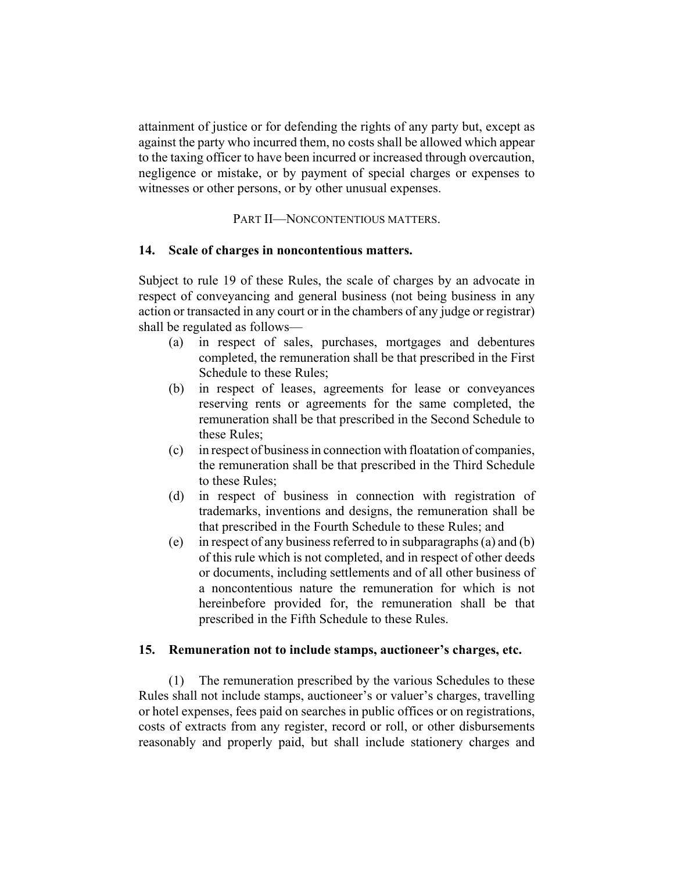attainment of justice or for defending the rights of any party but, except as against the party who incurred them, no costs shall be allowed which appear to the taxing officer to have been incurred or increased through overcaution, negligence or mistake, or by payment of special charges or expenses to witnesses or other persons, or by other unusual expenses.

PART II—NONCONTENTIOUS MATTERS.

#### **14. Scale of charges in noncontentious matters.**

Subject to rule 19 of these Rules, the scale of charges by an advocate in respect of conveyancing and general business (not being business in any action or transacted in any court or in the chambers of any judge or registrar) shall be regulated as follows—

- (a) in respect of sales, purchases, mortgages and debentures completed, the remuneration shall be that prescribed in the First Schedule to these Rules;
- (b) in respect of leases, agreements for lease or conveyances reserving rents or agreements for the same completed, the remuneration shall be that prescribed in the Second Schedule to these Rules;
- (c) in respect of business in connection with floatation of companies, the remuneration shall be that prescribed in the Third Schedule to these Rules;
- (d) in respect of business in connection with registration of trademarks, inventions and designs, the remuneration shall be that prescribed in the Fourth Schedule to these Rules; and
- (e) in respect of any business referred to in subparagraphs (a) and (b) of this rule which is not completed, and in respect of other deeds or documents, including settlements and of all other business of a noncontentious nature the remuneration for which is not hereinbefore provided for, the remuneration shall be that prescribed in the Fifth Schedule to these Rules.

#### **15. Remuneration not to include stamps, auctioneer's charges, etc.**

(1) The remuneration prescribed by the various Schedules to these Rules shall not include stamps, auctioneer's or valuer's charges, travelling or hotel expenses, fees paid on searches in public offices or on registrations, costs of extracts from any register, record or roll, or other disbursements reasonably and properly paid, but shall include stationery charges and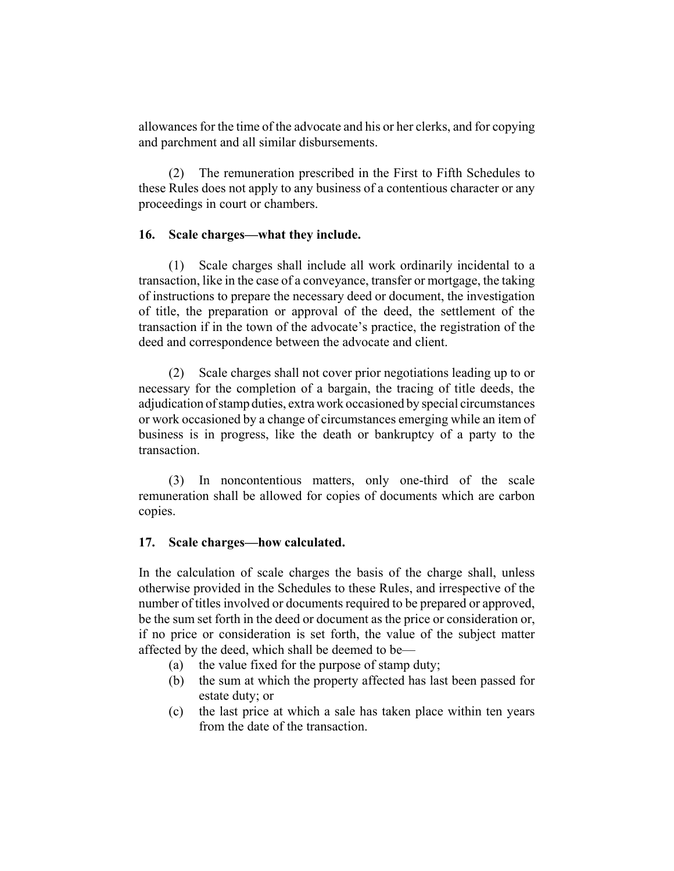allowances for the time of the advocate and his or her clerks, and for copying and parchment and all similar disbursements.

(2) The remuneration prescribed in the First to Fifth Schedules to these Rules does not apply to any business of a contentious character or any proceedings in court or chambers.

#### **16. Scale charges—what they include.**

(1) Scale charges shall include all work ordinarily incidental to a transaction, like in the case of a conveyance, transfer or mortgage, the taking of instructions to prepare the necessary deed or document, the investigation of title, the preparation or approval of the deed, the settlement of the transaction if in the town of the advocate's practice, the registration of the deed and correspondence between the advocate and client.

(2) Scale charges shall not cover prior negotiations leading up to or necessary for the completion of a bargain, the tracing of title deeds, the adjudication of stamp duties, extra work occasioned by special circumstances or work occasioned by a change of circumstances emerging while an item of business is in progress, like the death or bankruptcy of a party to the transaction.

(3) In noncontentious matters, only one-third of the scale remuneration shall be allowed for copies of documents which are carbon copies.

#### **17. Scale charges—how calculated.**

In the calculation of scale charges the basis of the charge shall, unless otherwise provided in the Schedules to these Rules, and irrespective of the number of titles involved or documents required to be prepared or approved, be the sum set forth in the deed or document as the price or consideration or, if no price or consideration is set forth, the value of the subject matter affected by the deed, which shall be deemed to be—

- (a) the value fixed for the purpose of stamp duty;
- (b) the sum at which the property affected has last been passed for estate duty; or
- (c) the last price at which a sale has taken place within ten years from the date of the transaction.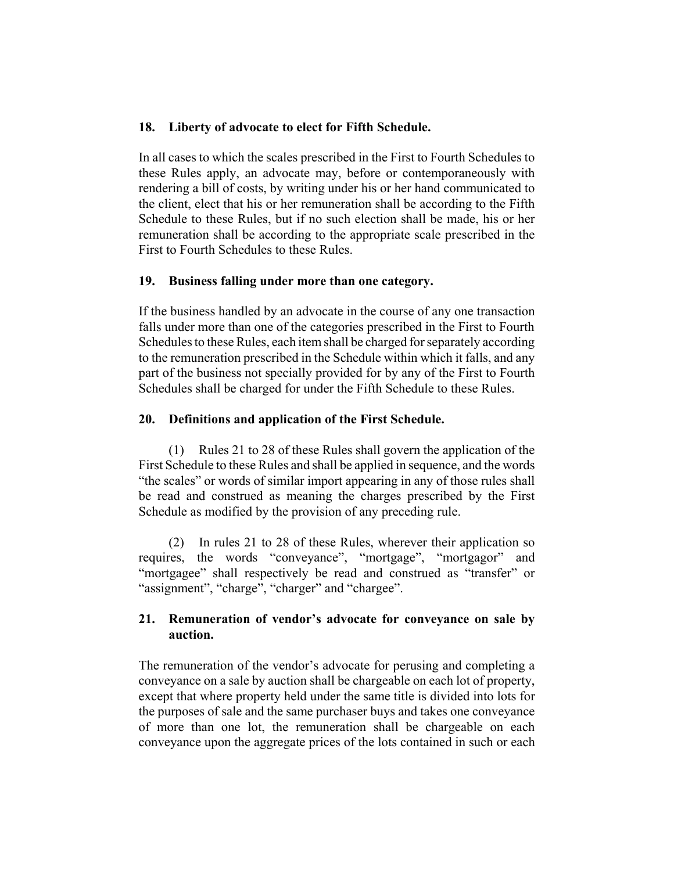### **18. Liberty of advocate to elect for Fifth Schedule.**

In all cases to which the scales prescribed in the First to Fourth Schedules to these Rules apply, an advocate may, before or contemporaneously with rendering a bill of costs, by writing under his or her hand communicated to the client, elect that his or her remuneration shall be according to the Fifth Schedule to these Rules, but if no such election shall be made, his or her remuneration shall be according to the appropriate scale prescribed in the First to Fourth Schedules to these Rules.

#### **19. Business falling under more than one category.**

If the business handled by an advocate in the course of any one transaction falls under more than one of the categories prescribed in the First to Fourth Schedules to these Rules, each item shall be charged for separately according to the remuneration prescribed in the Schedule within which it falls, and any part of the business not specially provided for by any of the First to Fourth Schedules shall be charged for under the Fifth Schedule to these Rules.

### **20. Definitions and application of the First Schedule.**

(1) Rules 21 to 28 of these Rules shall govern the application of the First Schedule to these Rules and shall be applied in sequence, and the words "the scales" or words of similar import appearing in any of those rules shall be read and construed as meaning the charges prescribed by the First Schedule as modified by the provision of any preceding rule.

(2) In rules 21 to 28 of these Rules, wherever their application so requires, the words "conveyance", "mortgage", "mortgagor" and "mortgagee" shall respectively be read and construed as "transfer" or "assignment", "charge", "charger" and "chargee".

## **21. Remuneration of vendor's advocate for conveyance on sale by auction.**

The remuneration of the vendor's advocate for perusing and completing a conveyance on a sale by auction shall be chargeable on each lot of property, except that where property held under the same title is divided into lots for the purposes of sale and the same purchaser buys and takes one conveyance of more than one lot, the remuneration shall be chargeable on each conveyance upon the aggregate prices of the lots contained in such or each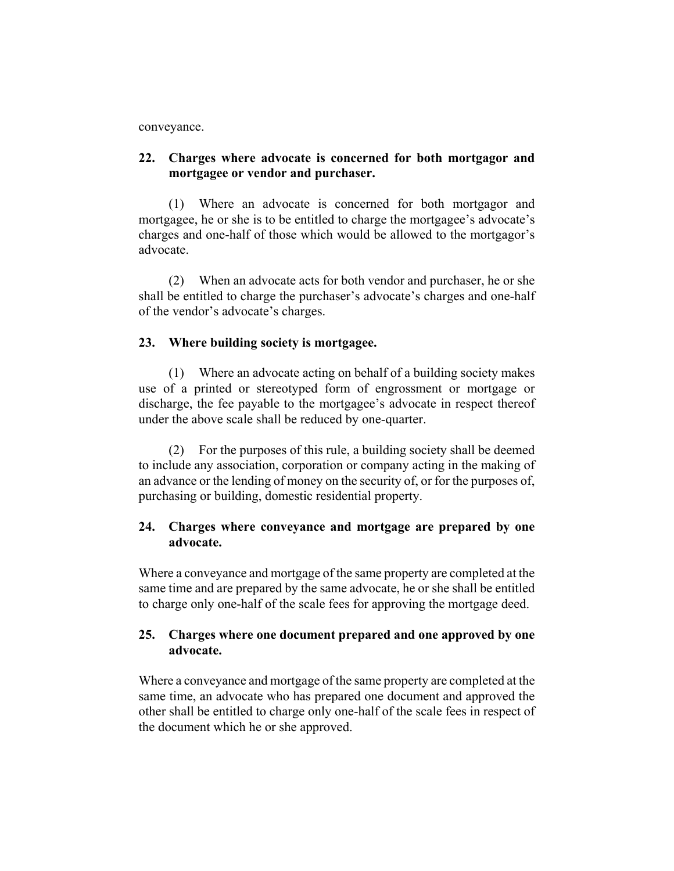#### conveyance.

### **22. Charges where advocate is concerned for both mortgagor and mortgagee or vendor and purchaser.**

(1) Where an advocate is concerned for both mortgagor and mortgagee, he or she is to be entitled to charge the mortgagee's advocate's charges and one-half of those which would be allowed to the mortgagor's advocate.

(2) When an advocate acts for both vendor and purchaser, he or she shall be entitled to charge the purchaser's advocate's charges and one-half of the vendor's advocate's charges.

#### **23. Where building society is mortgagee.**

(1) Where an advocate acting on behalf of a building society makes use of a printed or stereotyped form of engrossment or mortgage or discharge, the fee payable to the mortgagee's advocate in respect thereof under the above scale shall be reduced by one-quarter.

(2) For the purposes of this rule, a building society shall be deemed to include any association, corporation or company acting in the making of an advance or the lending of money on the security of, or for the purposes of, purchasing or building, domestic residential property.

## **24. Charges where conveyance and mortgage are prepared by one advocate.**

Where a conveyance and mortgage of the same property are completed at the same time and are prepared by the same advocate, he or she shall be entitled to charge only one-half of the scale fees for approving the mortgage deed.

### **25. Charges where one document prepared and one approved by one advocate.**

Where a conveyance and mortgage of the same property are completed at the same time, an advocate who has prepared one document and approved the other shall be entitled to charge only one-half of the scale fees in respect of the document which he or she approved.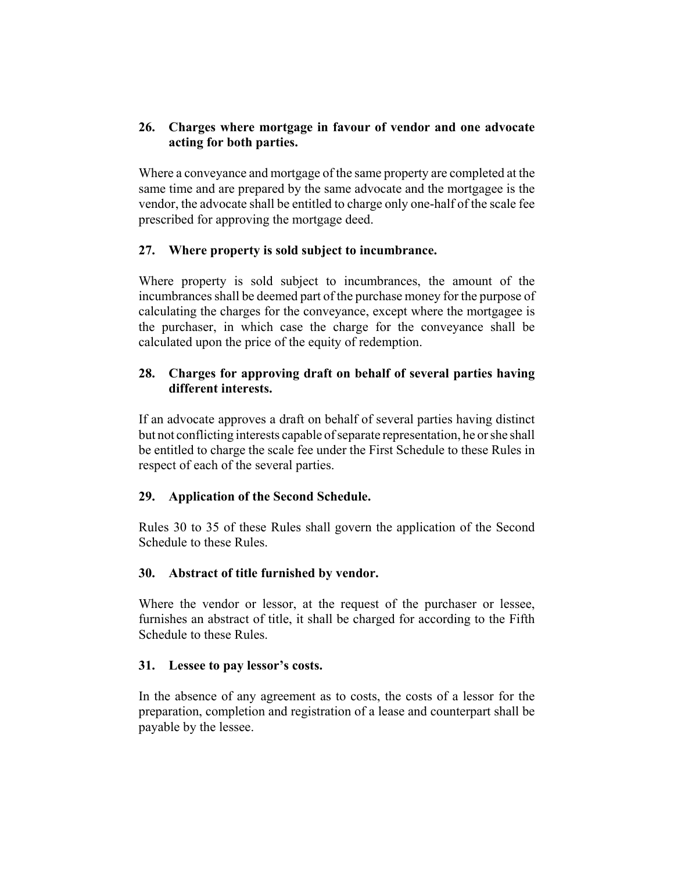## **26. Charges where mortgage in favour of vendor and one advocate acting for both parties.**

Where a conveyance and mortgage of the same property are completed at the same time and are prepared by the same advocate and the mortgagee is the vendor, the advocate shall be entitled to charge only one-half of the scale fee prescribed for approving the mortgage deed.

# **27. Where property is sold subject to incumbrance.**

Where property is sold subject to incumbrances, the amount of the incumbrances shall be deemed part of the purchase money for the purpose of calculating the charges for the conveyance, except where the mortgagee is the purchaser, in which case the charge for the conveyance shall be calculated upon the price of the equity of redemption.

## **28. Charges for approving draft on behalf of several parties having different interests.**

If an advocate approves a draft on behalf of several parties having distinct but not conflicting interests capable of separate representation, he or she shall be entitled to charge the scale fee under the First Schedule to these Rules in respect of each of the several parties.

# **29. Application of the Second Schedule.**

Rules 30 to 35 of these Rules shall govern the application of the Second Schedule to these Rules.

## **30. Abstract of title furnished by vendor.**

Where the vendor or lessor, at the request of the purchaser or lessee, furnishes an abstract of title, it shall be charged for according to the Fifth Schedule to these Rules.

## **31. Lessee to pay lessor's costs.**

In the absence of any agreement as to costs, the costs of a lessor for the preparation, completion and registration of a lease and counterpart shall be payable by the lessee.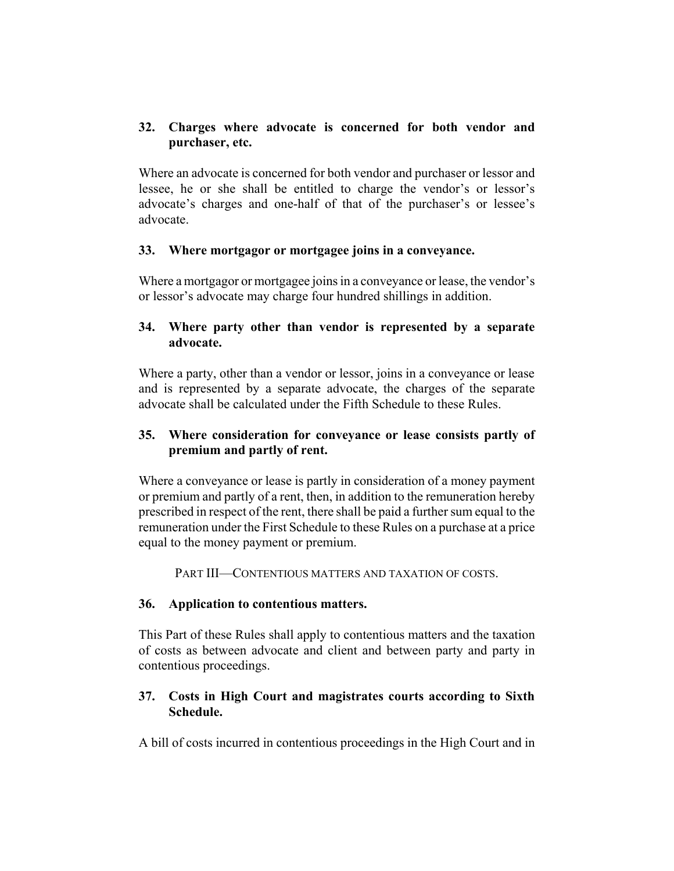## **32. Charges where advocate is concerned for both vendor and purchaser, etc.**

Where an advocate is concerned for both vendor and purchaser or lessor and lessee, he or she shall be entitled to charge the vendor's or lessor's advocate's charges and one-half of that of the purchaser's or lessee's advocate.

## **33. Where mortgagor or mortgagee joins in a conveyance.**

Where a mortgagor or mortgagee joins in a conveyance or lease, the vendor's or lessor's advocate may charge four hundred shillings in addition.

## **34. Where party other than vendor is represented by a separate advocate.**

Where a party, other than a vendor or lessor, joins in a conveyance or lease and is represented by a separate advocate, the charges of the separate advocate shall be calculated under the Fifth Schedule to these Rules.

# **35. Where consideration for conveyance or lease consists partly of premium and partly of rent.**

Where a conveyance or lease is partly in consideration of a money payment or premium and partly of a rent, then, in addition to the remuneration hereby prescribed in respect of the rent, there shall be paid a further sum equal to the remuneration under the First Schedule to these Rules on a purchase at a price equal to the money payment or premium.

PART III—CONTENTIOUS MATTERS AND TAXATION OF COSTS.

## **36. Application to contentious matters.**

This Part of these Rules shall apply to contentious matters and the taxation of costs as between advocate and client and between party and party in contentious proceedings.

## **37. Costs in High Court and magistrates courts according to Sixth Schedule.**

A bill of costs incurred in contentious proceedings in the High Court and in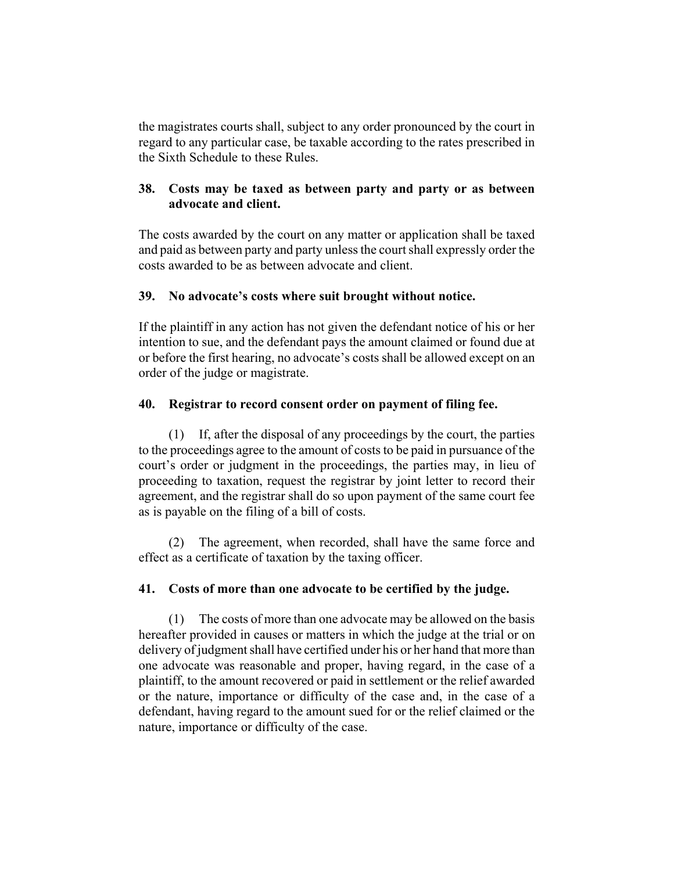the magistrates courts shall, subject to any order pronounced by the court in regard to any particular case, be taxable according to the rates prescribed in the Sixth Schedule to these Rules.

## **38. Costs may be taxed as between party and party or as between advocate and client.**

The costs awarded by the court on any matter or application shall be taxed and paid as between party and party unless the court shall expressly order the costs awarded to be as between advocate and client.

## **39. No advocate's costs where suit brought without notice.**

If the plaintiff in any action has not given the defendant notice of his or her intention to sue, and the defendant pays the amount claimed or found due at or before the first hearing, no advocate's costs shall be allowed except on an order of the judge or magistrate.

### **40. Registrar to record consent order on payment of filing fee.**

(1) If, after the disposal of any proceedings by the court, the parties to the proceedings agree to the amount of costs to be paid in pursuance of the court's order or judgment in the proceedings, the parties may, in lieu of proceeding to taxation, request the registrar by joint letter to record their agreement, and the registrar shall do so upon payment of the same court fee as is payable on the filing of a bill of costs.

(2) The agreement, when recorded, shall have the same force and effect as a certificate of taxation by the taxing officer.

## **41. Costs of more than one advocate to be certified by the judge.**

(1) The costs of more than one advocate may be allowed on the basis hereafter provided in causes or matters in which the judge at the trial or on delivery of judgment shall have certified under his or her hand that more than one advocate was reasonable and proper, having regard, in the case of a plaintiff, to the amount recovered or paid in settlement or the relief awarded or the nature, importance or difficulty of the case and, in the case of a defendant, having regard to the amount sued for or the relief claimed or the nature, importance or difficulty of the case.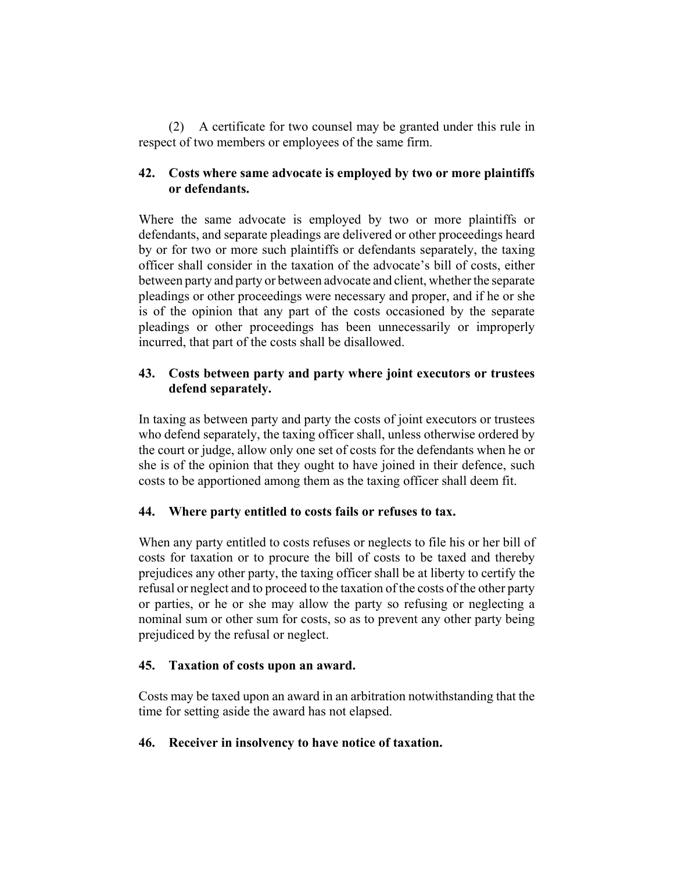(2) A certificate for two counsel may be granted under this rule in respect of two members or employees of the same firm.

# **42. Costs where same advocate is employed by two or more plaintiffs or defendants.**

Where the same advocate is employed by two or more plaintiffs or defendants, and separate pleadings are delivered or other proceedings heard by or for two or more such plaintiffs or defendants separately, the taxing officer shall consider in the taxation of the advocate's bill of costs, either between party and party or between advocate and client, whether the separate pleadings or other proceedings were necessary and proper, and if he or she is of the opinion that any part of the costs occasioned by the separate pleadings or other proceedings has been unnecessarily or improperly incurred, that part of the costs shall be disallowed.

## **43. Costs between party and party where joint executors or trustees defend separately.**

In taxing as between party and party the costs of joint executors or trustees who defend separately, the taxing officer shall, unless otherwise ordered by the court or judge, allow only one set of costs for the defendants when he or she is of the opinion that they ought to have joined in their defence, such costs to be apportioned among them as the taxing officer shall deem fit.

## **44. Where party entitled to costs fails or refuses to tax.**

When any party entitled to costs refuses or neglects to file his or her bill of costs for taxation or to procure the bill of costs to be taxed and thereby prejudices any other party, the taxing officer shall be at liberty to certify the refusal or neglect and to proceed to the taxation of the costs of the other party or parties, or he or she may allow the party so refusing or neglecting a nominal sum or other sum for costs, so as to prevent any other party being prejudiced by the refusal or neglect.

## **45. Taxation of costs upon an award.**

Costs may be taxed upon an award in an arbitration notwithstanding that the time for setting aside the award has not elapsed.

## **46. Receiver in insolvency to have notice of taxation.**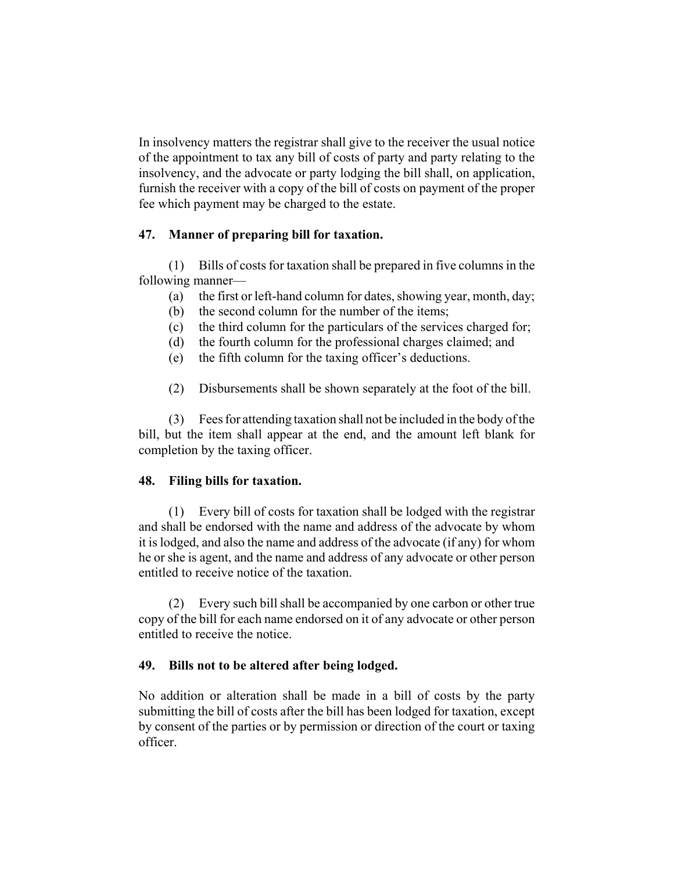In insolvency matters the registrar shall give to the receiver the usual notice of the appointment to tax any bill of costs of party and party relating to the insolvency, and the advocate or party lodging the bill shall, on application, furnish the receiver with a copy of the bill of costs on payment of the proper fee which payment may be charged to the estate.

### **47. Manner of preparing bill for taxation.**

(1) Bills of costs for taxation shall be prepared in five columns in the following manner—

- (a) the first or left-hand column for dates, showing year, month, day;
- (b) the second column for the number of the items;
- (c) the third column for the particulars of the services charged for;
- (d) the fourth column for the professional charges claimed; and
- (e) the fifth column for the taxing officer's deductions.
- (2) Disbursements shall be shown separately at the foot of the bill.

(3) Fees for attending taxation shall not be included in the body of the bill, but the item shall appear at the end, and the amount left blank for completion by the taxing officer.

#### **48. Filing bills for taxation.**

(1) Every bill of costs for taxation shall be lodged with the registrar and shall be endorsed with the name and address of the advocate by whom it is lodged, and also the name and address of the advocate (if any) for whom he or she is agent, and the name and address of any advocate or other person entitled to receive notice of the taxation.

(2) Every such bill shall be accompanied by one carbon or other true copy of the bill for each name endorsed on it of any advocate or other person entitled to receive the notice.

## **49. Bills not to be altered after being lodged.**

No addition or alteration shall be made in a bill of costs by the party submitting the bill of costs after the bill has been lodged for taxation, except by consent of the parties or by permission or direction of the court or taxing officer.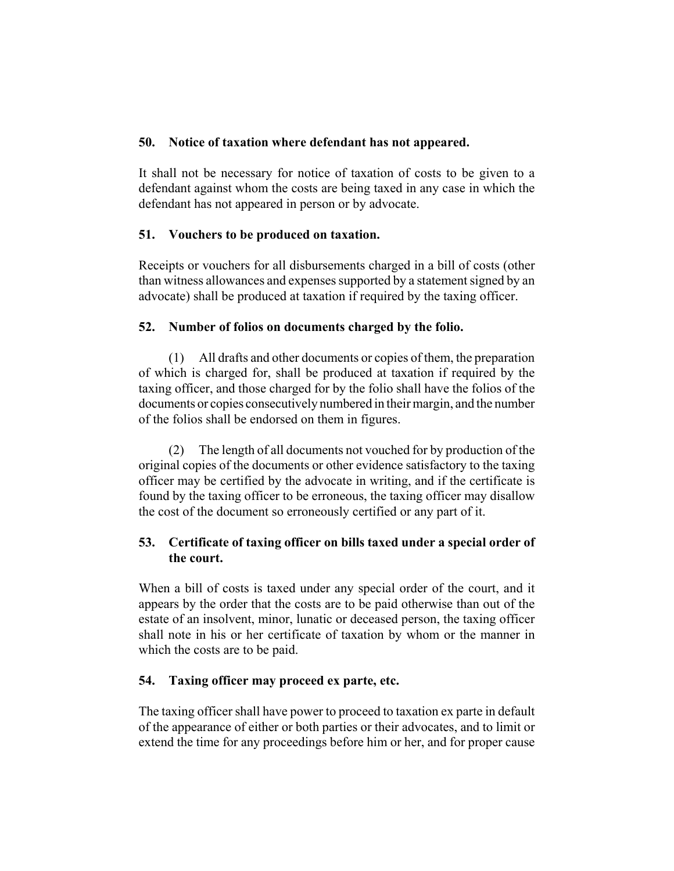### **50. Notice of taxation where defendant has not appeared.**

It shall not be necessary for notice of taxation of costs to be given to a defendant against whom the costs are being taxed in any case in which the defendant has not appeared in person or by advocate.

## **51. Vouchers to be produced on taxation.**

Receipts or vouchers for all disbursements charged in a bill of costs (other than witness allowances and expenses supported by a statement signed by an advocate) shall be produced at taxation if required by the taxing officer.

### **52. Number of folios on documents charged by the folio.**

(1) All drafts and other documents or copies of them, the preparation of which is charged for, shall be produced at taxation if required by the taxing officer, and those charged for by the folio shall have the folios of the documents or copies consecutively numbered in their margin, and the number of the folios shall be endorsed on them in figures.

(2) The length of all documents not vouched for by production of the original copies of the documents or other evidence satisfactory to the taxing officer may be certified by the advocate in writing, and if the certificate is found by the taxing officer to be erroneous, the taxing officer may disallow the cost of the document so erroneously certified or any part of it.

# **53. Certificate of taxing officer on bills taxed under a special order of the court.**

When a bill of costs is taxed under any special order of the court, and it appears by the order that the costs are to be paid otherwise than out of the estate of an insolvent, minor, lunatic or deceased person, the taxing officer shall note in his or her certificate of taxation by whom or the manner in which the costs are to be paid.

## **54. Taxing officer may proceed ex parte, etc.**

The taxing officer shall have power to proceed to taxation ex parte in default of the appearance of either or both parties or their advocates, and to limit or extend the time for any proceedings before him or her, and for proper cause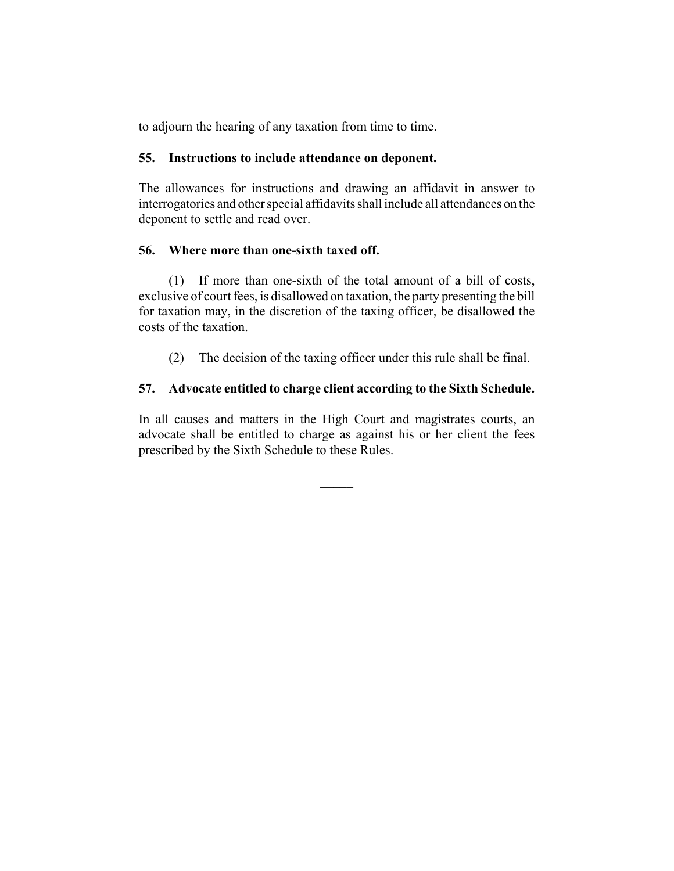to adjourn the hearing of any taxation from time to time.

### **55. Instructions to include attendance on deponent.**

The allowances for instructions and drawing an affidavit in answer to interrogatories and other special affidavits shall include all attendances on the deponent to settle and read over.

### **56. Where more than one-sixth taxed off.**

(1) If more than one-sixth of the total amount of a bill of costs, exclusive of court fees, is disallowed on taxation, the party presenting the bill for taxation may, in the discretion of the taxing officer, be disallowed the costs of the taxation.

(2) The decision of the taxing officer under this rule shall be final.

## **57. Advocate entitled to charge client according to the Sixth Schedule.**

In all causes and matters in the High Court and magistrates courts, an advocate shall be entitled to charge as against his or her client the fees prescribed by the Sixth Schedule to these Rules.

**\_\_\_\_\_**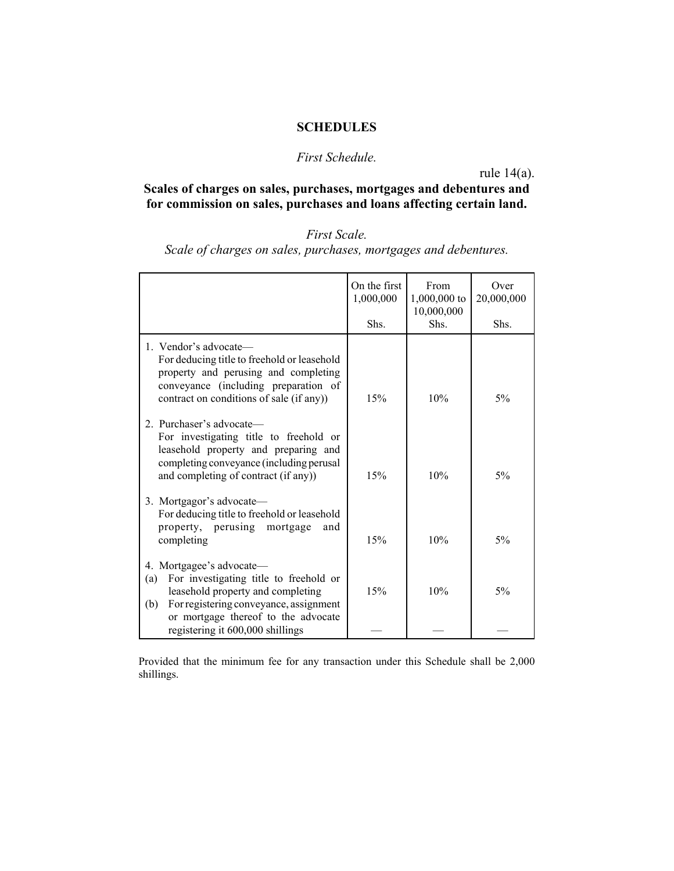#### **SCHEDULES**

### *First Schedule.*

rule 14(a).

**Scales of charges on sales, purchases, mortgages and debentures and for commission on sales, purchases and loans affecting certain land.**

# *First Scale.*

*Scale of charges on sales, purchases, mortgages and debentures.*

|                                                                                                                                                                                                        | On the first<br>1,000,000 | From<br>1,000,000 to<br>10,000,000 | Over<br>20,000,000 |
|--------------------------------------------------------------------------------------------------------------------------------------------------------------------------------------------------------|---------------------------|------------------------------------|--------------------|
|                                                                                                                                                                                                        | Shs.                      | Shs.                               | Shs.               |
| 1. Vendor's advocate—<br>For deducing title to freehold or leasehold<br>property and perusing and completing<br>conveyance (including preparation of<br>contract on conditions of sale (if any))       | 15%                       | 10%                                | 5%                 |
| 2. Purchaser's advocate—<br>For investigating title to freehold or<br>leasehold property and preparing and<br>completing conveyance (including perusal<br>and completing of contract (if any))         | 15%                       | 10%                                | $5\%$              |
| 3. Mortgagor's advocate—<br>For deducing title to freehold or leasehold<br>property, perusing<br>mortgage<br>and<br>completing                                                                         | 15%                       | 10%                                | 5%                 |
| 4. Mortgagee's advocate—<br>For investigating title to freehold or<br>(a)<br>leasehold property and completing<br>For registering conveyance, assignment<br>(b)<br>or mortgage thereof to the advocate | 15%                       | 10%                                | 5%                 |
| registering it 600,000 shillings                                                                                                                                                                       |                           |                                    |                    |

Provided that the minimum fee for any transaction under this Schedule shall be 2,000 shillings.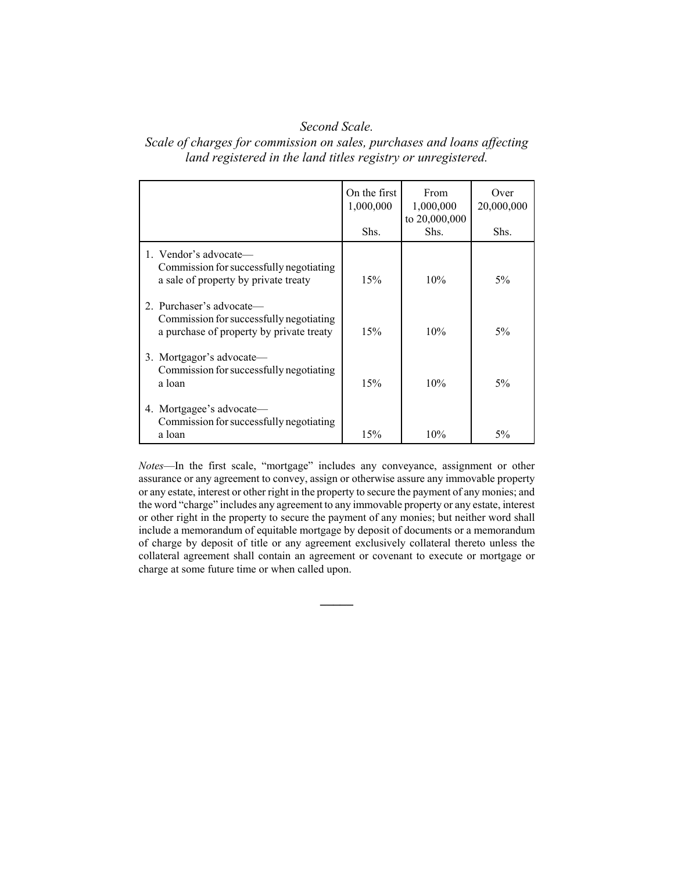### *Second Scale.*

#### *Scale of charges for commission on sales, purchases and loans affecting land registered in the land titles registry or unregistered.*

|                                                                                                                 | On the first<br>1,000,000<br>Shs. | From<br>1,000,000<br>to 20,000,000<br>Shs. | Over<br>20,000,000<br>Shs. |
|-----------------------------------------------------------------------------------------------------------------|-----------------------------------|--------------------------------------------|----------------------------|
| 1. Vendor's advocate—<br>Commission for successfully negotiating<br>a sale of property by private treaty        | 15%                               | 10%                                        | $5\%$                      |
| 2. Purchaser's advocate—<br>Commission for successfully negotiating<br>a purchase of property by private treaty | 15%                               | 10%                                        | $5\%$                      |
| 3. Mortgagor's advocate—<br>Commission for successfully negotiating<br>a loan                                   | 15%                               | 10%                                        | $5\%$                      |
| 4. Mortgagee's advocate—<br>Commission for successfully negotiating<br>a loan                                   | 15%                               | 10%                                        | $5\%$                      |

*Notes*—In the first scale, "mortgage" includes any conveyance, assignment or other assurance or any agreement to convey, assign or otherwise assure any immovable property or any estate, interest or other right in the property to secure the payment of any monies; and the word "charge" includes any agreement to any immovable property or any estate, interest or other right in the property to secure the payment of any monies; but neither word shall include a memorandum of equitable mortgage by deposit of documents or a memorandum of charge by deposit of title or any agreement exclusively collateral thereto unless the collateral agreement shall contain an agreement or covenant to execute or mortgage or charge at some future time or when called upon.

**\_\_\_\_\_**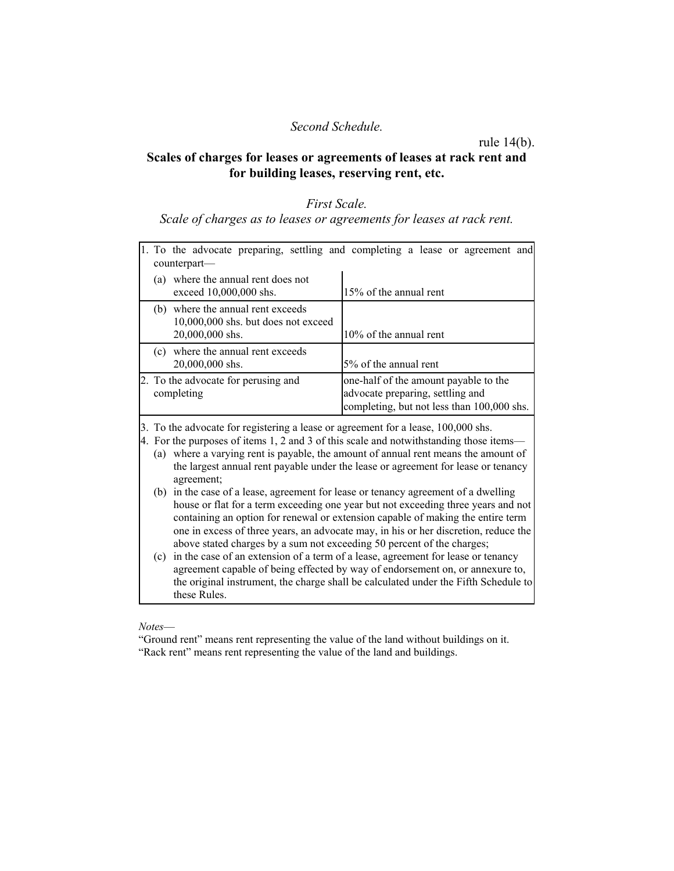#### *Second Schedule.*

rule 14(b).

#### **Scales of charges for leases or agreements of leases at rack rent and for building leases, reserving rent, etc.**

#### *First Scale.*

#### *Scale of charges as to leases or agreements for leases at rack rent.*

| counterpart—                                                                                | 1. To the advocate preparing, settling and completing a lease or agreement and                                          |
|---------------------------------------------------------------------------------------------|-------------------------------------------------------------------------------------------------------------------------|
| (a) where the annual rent does not<br>exceed $10,000,000$ shs.                              | 15% of the annual rent                                                                                                  |
| (b) where the annual rent exceeds<br>10,000,000 shs. but does not exceed<br>20,000,000 shs. | 10% of the annual rent                                                                                                  |
| (c) where the annual rent exceeds<br>20,000,000 shs.                                        | 5% of the annual rent                                                                                                   |
| 2. To the advocate for perusing and<br>completing                                           | one-half of the amount payable to the<br>advocate preparing, settling and<br>completing, but not less than 100,000 shs. |
| $\mathbf{1}$ $\mathbf{1}$ $\mathbf{2}$ $\mathbf{3}$                                         | $\sim$ 1 100,000 1                                                                                                      |

3. To the advocate for registering a lease or agreement for a lease, 100,000 shs.

4. For the purposes of items 1, 2 and 3 of this scale and notwithstanding those items— (a) where a varying rent is payable, the amount of annual rent means the amount of the largest annual rent payable under the lease or agreement for lease or tenancy agreement;

- (b) in the case of a lease, agreement for lease or tenancy agreement of a dwelling house or flat for a term exceeding one year but not exceeding three years and not containing an option for renewal or extension capable of making the entire term one in excess of three years, an advocate may, in his or her discretion, reduce the above stated charges by a sum not exceeding 50 percent of the charges;
- (c) in the case of an extension of a term of a lease, agreement for lease or tenancy agreement capable of being effected by way of endorsement on, or annexure to, the original instrument, the charge shall be calculated under the Fifth Schedule to these Rules.

*Notes*—

"Ground rent" means rent representing the value of the land without buildings on it. "Rack rent" means rent representing the value of the land and buildings.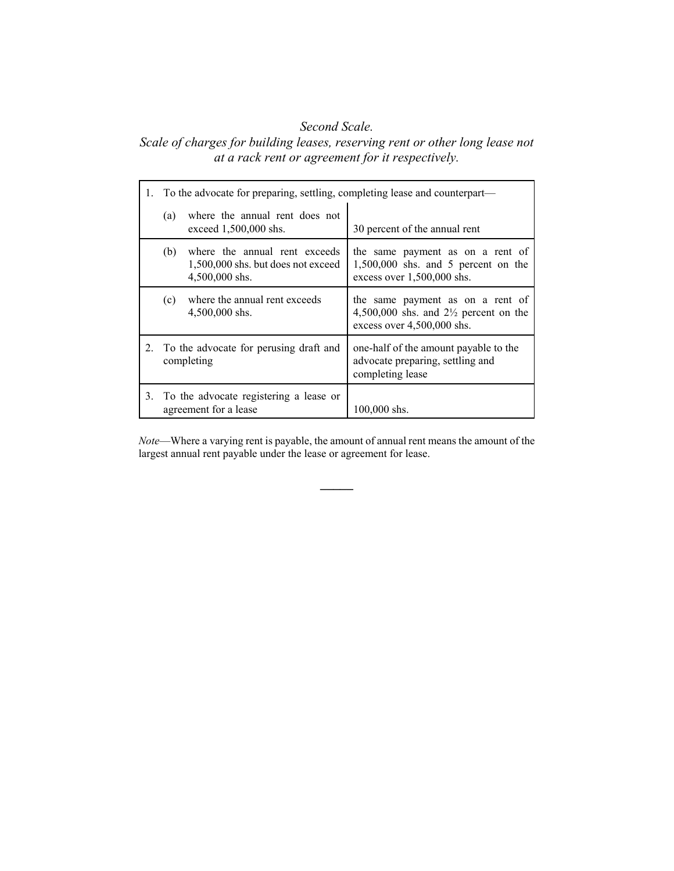#### *Second Scale.*

# *Scale of charges for building leases, reserving rent or other long lease not at a rack rent or agreement for it respectively.*

|    | To the advocate for preparing, settling, completing lease and counterpart— |                                                                                       |                                                                                                                      |  |
|----|----------------------------------------------------------------------------|---------------------------------------------------------------------------------------|----------------------------------------------------------------------------------------------------------------------|--|
|    | (a)                                                                        | where the annual rent does not<br>exceed 1,500,000 shs.                               | 30 percent of the annual rent                                                                                        |  |
|    | (b)                                                                        | where the annual rent exceeds<br>1,500,000 shs. but does not exceed<br>4,500,000 shs. | the same payment as on a rent of<br>$1,500,000$ shs. and 5 percent on the<br>excess over 1,500,000 shs.              |  |
|    | (c)                                                                        | where the annual rent exceeds<br>4,500,000 shs.                                       | the same payment as on a rent of<br>4,500,000 shs. and $2\frac{1}{2}$ percent on the<br>excess over $4,500,000$ shs. |  |
| 2. | To the advocate for perusing draft and<br>completing                       |                                                                                       | one-half of the amount payable to the<br>advocate preparing, settling and<br>completing lease                        |  |
| 3. |                                                                            | To the advocate registering a lease or<br>agreement for a lease                       | $100,000$ shs.                                                                                                       |  |

*Note*—Where a varying rent is payable, the amount of annual rent means the amount of the largest annual rent payable under the lease or agreement for lease.

**\_\_\_\_\_**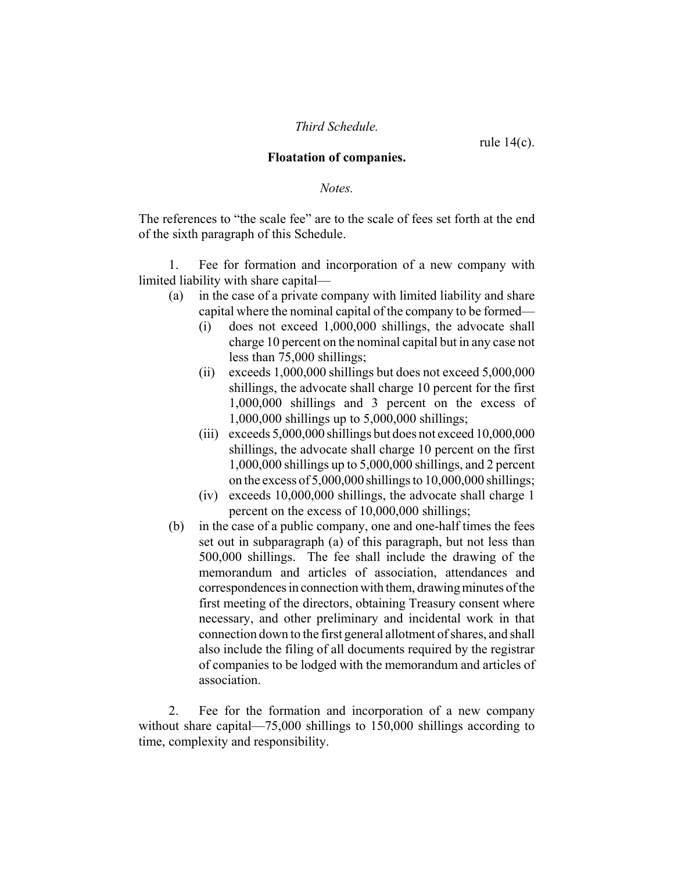#### *Third Schedule.*

rule 14(c).

#### **Floatation of companies.**

*Notes.*

The references to "the scale fee" are to the scale of fees set forth at the end of the sixth paragraph of this Schedule.

1. Fee for formation and incorporation of a new company with limited liability with share capital—

- (a) in the case of a private company with limited liability and share capital where the nominal capital of the company to be formed—
	- (i) does not exceed 1,000,000 shillings, the advocate shall charge 10 percent on the nominal capital but in any case not less than 75,000 shillings;
	- (ii) exceeds 1,000,000 shillings but does not exceed 5,000,000 shillings, the advocate shall charge 10 percent for the first 1,000,000 shillings and 3 percent on the excess of 1,000,000 shillings up to 5,000,000 shillings;
	- (iii) exceeds 5,000,000 shillings but does not exceed 10,000,000 shillings, the advocate shall charge 10 percent on the first 1,000,000 shillings up to 5,000,000 shillings, and 2 percent on the excess of 5,000,000 shillings to 10,000,000 shillings;
	- (iv) exceeds 10,000,000 shillings, the advocate shall charge 1 percent on the excess of 10,000,000 shillings;
- (b) in the case of a public company, one and one-half times the fees set out in subparagraph (a) of this paragraph, but not less than 500,000 shillings. The fee shall include the drawing of the memorandum and articles of association, attendances and correspondences in connection with them, drawing minutes of the first meeting of the directors, obtaining Treasury consent where necessary, and other preliminary and incidental work in that connection down to the first general allotment of shares, and shall also include the filing of all documents required by the registrar of companies to be lodged with the memorandum and articles of association.

2. Fee for the formation and incorporation of a new company without share capital—75,000 shillings to 150,000 shillings according to time, complexity and responsibility.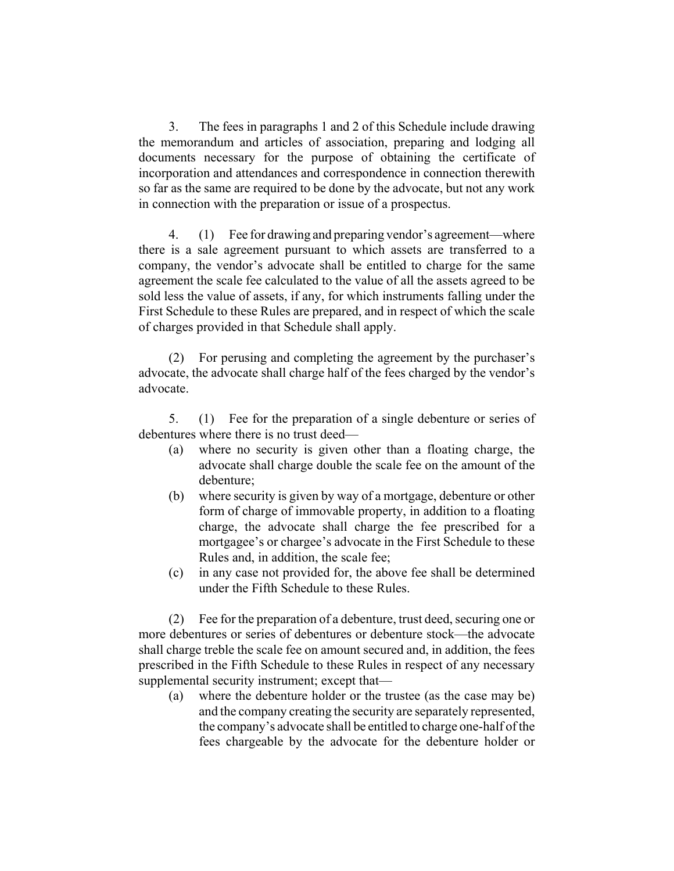3. The fees in paragraphs 1 and 2 of this Schedule include drawing the memorandum and articles of association, preparing and lodging all documents necessary for the purpose of obtaining the certificate of incorporation and attendances and correspondence in connection therewith so far as the same are required to be done by the advocate, but not any work in connection with the preparation or issue of a prospectus.

4. (1) Fee for drawing and preparing vendor's agreement—where there is a sale agreement pursuant to which assets are transferred to a company, the vendor's advocate shall be entitled to charge for the same agreement the scale fee calculated to the value of all the assets agreed to be sold less the value of assets, if any, for which instruments falling under the First Schedule to these Rules are prepared, and in respect of which the scale of charges provided in that Schedule shall apply.

(2) For perusing and completing the agreement by the purchaser's advocate, the advocate shall charge half of the fees charged by the vendor's advocate.

5. (1) Fee for the preparation of a single debenture or series of debentures where there is no trust deed—

- (a) where no security is given other than a floating charge, the advocate shall charge double the scale fee on the amount of the debenture;
- (b) where security is given by way of a mortgage, debenture or other form of charge of immovable property, in addition to a floating charge, the advocate shall charge the fee prescribed for a mortgagee's or chargee's advocate in the First Schedule to these Rules and, in addition, the scale fee;
- (c) in any case not provided for, the above fee shall be determined under the Fifth Schedule to these Rules.

(2) Fee for the preparation of a debenture, trust deed, securing one or more debentures or series of debentures or debenture stock—the advocate shall charge treble the scale fee on amount secured and, in addition, the fees prescribed in the Fifth Schedule to these Rules in respect of any necessary supplemental security instrument; except that—

(a) where the debenture holder or the trustee (as the case may be) and the company creating the security are separately represented, the company's advocate shall be entitled to charge one-half of the fees chargeable by the advocate for the debenture holder or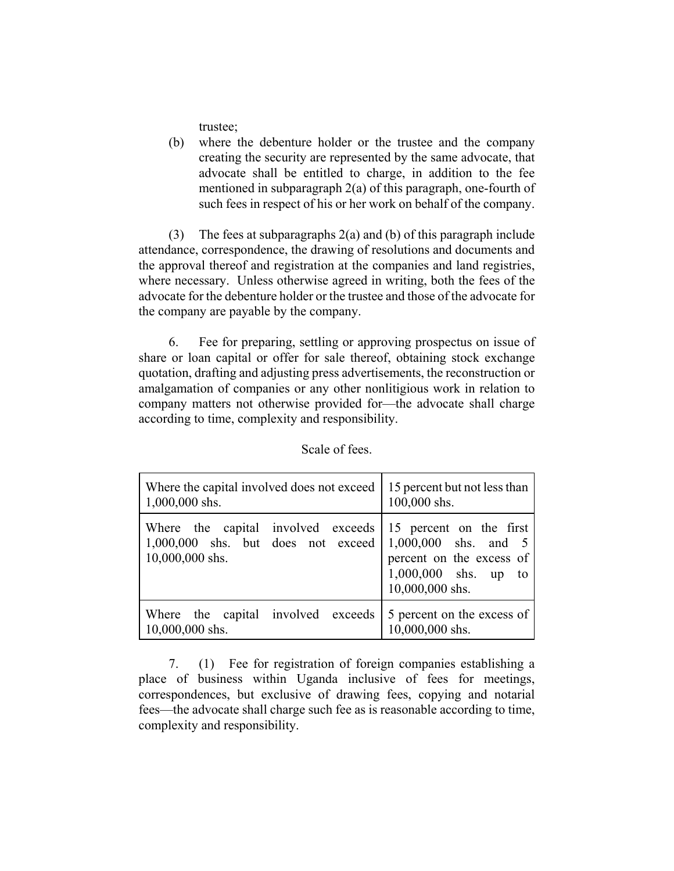trustee;

(b) where the debenture holder or the trustee and the company creating the security are represented by the same advocate, that advocate shall be entitled to charge, in addition to the fee mentioned in subparagraph 2(a) of this paragraph, one-fourth of such fees in respect of his or her work on behalf of the company.

(3) The fees at subparagraphs 2(a) and (b) of this paragraph include attendance, correspondence, the drawing of resolutions and documents and the approval thereof and registration at the companies and land registries, where necessary. Unless otherwise agreed in writing, both the fees of the advocate for the debenture holder or the trustee and those of the advocate for the company are payable by the company.

6. Fee for preparing, settling or approving prospectus on issue of share or loan capital or offer for sale thereof, obtaining stock exchange quotation, drafting and adjusting press advertisements, the reconstruction or amalgamation of companies or any other nonlitigious work in relation to company matters not otherwise provided for—the advocate shall charge according to time, complexity and responsibility.

| Where the capital involved does not exceed                                                    | 15 percent but not less than                                                                                               |
|-----------------------------------------------------------------------------------------------|----------------------------------------------------------------------------------------------------------------------------|
| $1,000,000$ shs.                                                                              | 100,000 shs.                                                                                                               |
| Where the capital involved exceeds<br>$1,000,000$ shs. but does not exceed<br>10,000,000 shs. | 15 percent on the first<br>$1,000,000$ shs. and 5<br>percent on the excess of<br>$1,000,000$ shs. up to<br>10,000,000 shs. |
| Where the capital involved exceeds                                                            | 5 percent on the excess of                                                                                                 |
| 10,000,000 shs.                                                                               | 10,000,000 shs.                                                                                                            |

Scale of fees.

7. (1) Fee for registration of foreign companies establishing a place of business within Uganda inclusive of fees for meetings, correspondences, but exclusive of drawing fees, copying and notarial fees—the advocate shall charge such fee as is reasonable according to time, complexity and responsibility.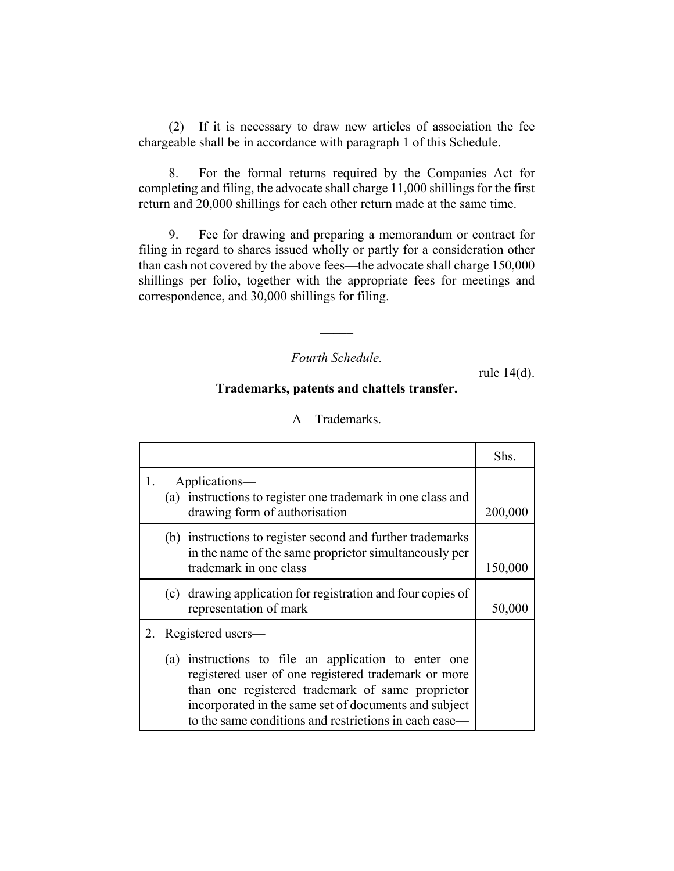(2) If it is necessary to draw new articles of association the fee chargeable shall be in accordance with paragraph 1 of this Schedule.

8. For the formal returns required by the Companies Act for completing and filing, the advocate shall charge 11,000 shillings for the first return and 20,000 shillings for each other return made at the same time.

9. Fee for drawing and preparing a memorandum or contract for filing in regard to shares issued wholly or partly for a consideration other than cash not covered by the above fees—the advocate shall charge 150,000 shillings per folio, together with the appropriate fees for meetings and correspondence, and 30,000 shillings for filing.

*Fourth Schedule.*

**\_\_\_\_\_**

rule 14(d).

#### **Trademarks, patents and chattels transfer.**

|    |                                                |                                                                                                                                                                                                                                                                               | Shs.    |
|----|------------------------------------------------|-------------------------------------------------------------------------------------------------------------------------------------------------------------------------------------------------------------------------------------------------------------------------------|---------|
| 1. | Applications—<br>drawing form of authorisation | (a) instructions to register one trademark in one class and                                                                                                                                                                                                                   | 200,000 |
|    | trademark in one class                         | (b) instructions to register second and further trademarks<br>in the name of the same proprietor simultaneously per                                                                                                                                                           | 150,000 |
|    | representation of mark                         | (c) drawing application for registration and four copies of                                                                                                                                                                                                                   | 50,000  |
| 2. | Registered users—                              |                                                                                                                                                                                                                                                                               |         |
|    | (a)                                            | instructions to file an application to enter one<br>registered user of one registered trademark or more<br>than one registered trademark of same proprietor<br>incorporated in the same set of documents and subject<br>to the same conditions and restrictions in each case— |         |

#### A—Trademarks.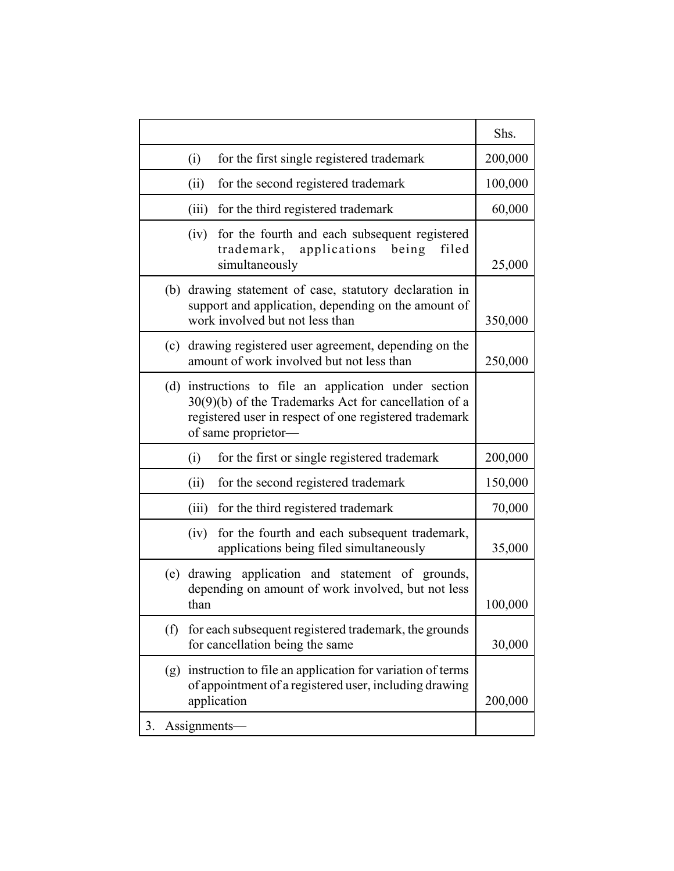|    |     |                                                                                                                                                                                            | Shs.    |
|----|-----|--------------------------------------------------------------------------------------------------------------------------------------------------------------------------------------------|---------|
|    |     | for the first single registered trademark<br>(i)                                                                                                                                           | 200,000 |
|    |     | (ii)<br>for the second registered trademark                                                                                                                                                | 100,000 |
|    |     | (iii)<br>for the third registered trademark                                                                                                                                                | 60,000  |
|    |     | for the fourth and each subsequent registered<br>(iv)<br>applications<br>trademark,<br>being<br>filed<br>simultaneously                                                                    | 25,000  |
|    | (b) | drawing statement of case, statutory declaration in<br>support and application, depending on the amount of<br>work involved but not less than                                              | 350,000 |
|    | (c) | drawing registered user agreement, depending on the<br>amount of work involved but not less than                                                                                           | 250,000 |
|    | (d) | instructions to file an application under section<br>30(9)(b) of the Trademarks Act for cancellation of a<br>registered user in respect of one registered trademark<br>of same proprietor- |         |
|    |     | for the first or single registered trademark<br>(i)                                                                                                                                        | 200,000 |
|    |     | (ii)<br>for the second registered trademark                                                                                                                                                | 150,000 |
|    |     | for the third registered trademark<br>(iii)                                                                                                                                                | 70,000  |
|    |     | for the fourth and each subsequent trademark,<br>(iv)<br>applications being filed simultaneously                                                                                           | 35,000  |
|    | (e) | drawing application and statement of grounds,<br>depending on amount of work involved, but not less<br>than                                                                                | 100,000 |
|    | (f) | for each subsequent registered trademark, the grounds<br>for cancellation being the same                                                                                                   | 30,000  |
|    | (g) | instruction to file an application for variation of terms<br>of appointment of a registered user, including drawing<br>application                                                         | 200,000 |
| 3. |     | Assignments-                                                                                                                                                                               |         |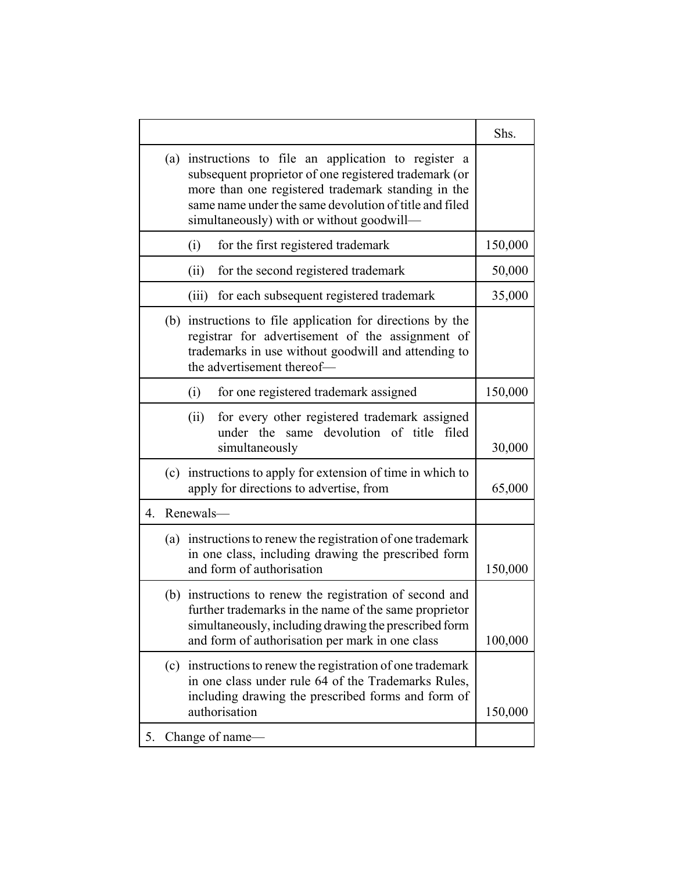|    |     |                                                                                                                                                                                                                                                                             | Shs.    |
|----|-----|-----------------------------------------------------------------------------------------------------------------------------------------------------------------------------------------------------------------------------------------------------------------------------|---------|
|    |     | (a) instructions to file an application to register a<br>subsequent proprietor of one registered trademark (or<br>more than one registered trademark standing in the<br>same name under the same devolution of title and filed<br>simultaneously) with or without goodwill- |         |
|    |     | for the first registered trademark<br>(i)                                                                                                                                                                                                                                   | 150,000 |
|    |     | for the second registered trademark<br>(ii)                                                                                                                                                                                                                                 | 50,000  |
|    |     | for each subsequent registered trademark<br>(iii)                                                                                                                                                                                                                           | 35,000  |
|    | (b) | instructions to file application for directions by the<br>registrar for advertisement of the assignment of<br>trademarks in use without goodwill and attending to<br>the advertisement thereof-                                                                             |         |
|    |     | for one registered trademark assigned<br>(i)                                                                                                                                                                                                                                | 150,000 |
|    |     | for every other registered trademark assigned<br>(ii)<br>under the<br>devolution of title<br>same<br>filed<br>simultaneously                                                                                                                                                | 30,000  |
|    |     | (c) instructions to apply for extension of time in which to<br>apply for directions to advertise, from                                                                                                                                                                      | 65,000  |
| 4. |     | Renewals-                                                                                                                                                                                                                                                                   |         |
|    |     | (a) instructions to renew the registration of one trademark<br>in one class, including drawing the prescribed form<br>and form of authorisation                                                                                                                             | 150,000 |
|    |     | (b) instructions to renew the registration of second and<br>further trademarks in the name of the same proprietor<br>simultaneously, including drawing the prescribed form<br>and form of authorisation per mark in one class                                               | 100,000 |
|    | (c) | instructions to renew the registration of one trademark<br>in one class under rule 64 of the Trademarks Rules,<br>including drawing the prescribed forms and form of<br>authorisation                                                                                       | 150,000 |
| 5. |     | Change of name-                                                                                                                                                                                                                                                             |         |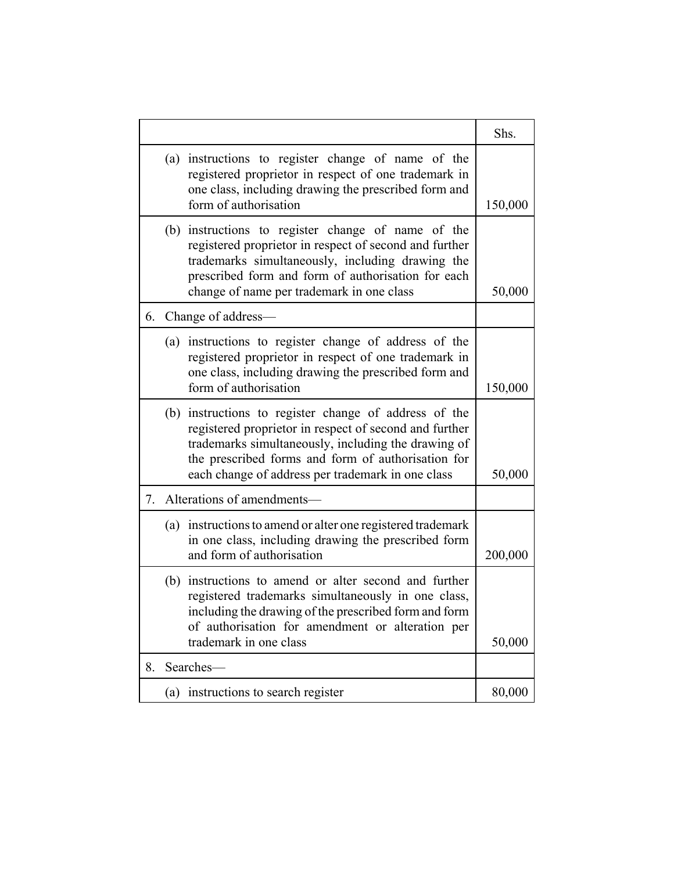|    |     |                                                                                                                                                                                                                                                                                   | Shs.    |
|----|-----|-----------------------------------------------------------------------------------------------------------------------------------------------------------------------------------------------------------------------------------------------------------------------------------|---------|
|    |     | (a) instructions to register change of name of the<br>registered proprietor in respect of one trademark in<br>one class, including drawing the prescribed form and<br>form of authorisation                                                                                       | 150,000 |
|    |     | (b) instructions to register change of name of the<br>registered proprietor in respect of second and further<br>trademarks simultaneously, including drawing the<br>prescribed form and form of authorisation for each<br>change of name per trademark in one class               | 50,000  |
| 6. |     | Change of address-                                                                                                                                                                                                                                                                |         |
|    |     | (a) instructions to register change of address of the<br>registered proprietor in respect of one trademark in<br>one class, including drawing the prescribed form and<br>form of authorisation                                                                                    | 150,000 |
|    |     | (b) instructions to register change of address of the<br>registered proprietor in respect of second and further<br>trademarks simultaneously, including the drawing of<br>the prescribed forms and form of authorisation for<br>each change of address per trademark in one class | 50,000  |
| 7. |     | Alterations of amendments-                                                                                                                                                                                                                                                        |         |
|    |     | (a) instructions to amend or alter one registered trademark<br>in one class, including drawing the prescribed form<br>and form of authorisation                                                                                                                                   | 200,000 |
|    |     | (b) instructions to amend or alter second and further<br>registered trademarks simultaneously in one class,<br>including the drawing of the prescribed form and form<br>of authorisation for amendment or alteration per<br>trademark in one class                                | 50,000  |
| 8. |     | Searches-                                                                                                                                                                                                                                                                         |         |
|    | (a) | instructions to search register                                                                                                                                                                                                                                                   | 80,000  |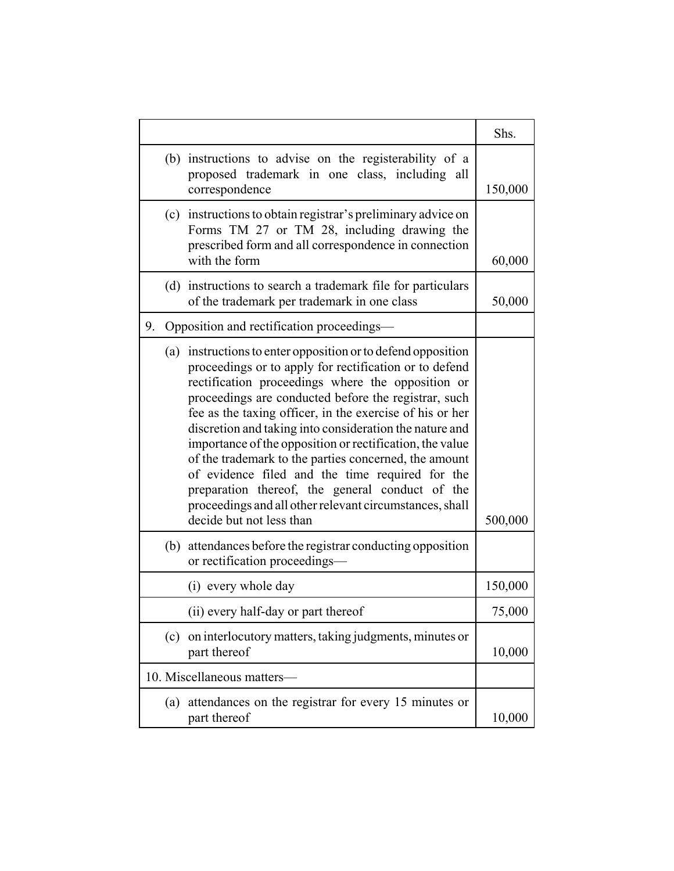|                                                                                                                                                                                                                                                                                                                                                                                                                                                                                                                                                                                                                                                                              | Shs.    |
|------------------------------------------------------------------------------------------------------------------------------------------------------------------------------------------------------------------------------------------------------------------------------------------------------------------------------------------------------------------------------------------------------------------------------------------------------------------------------------------------------------------------------------------------------------------------------------------------------------------------------------------------------------------------------|---------|
| (b) instructions to advise on the registerability of a<br>proposed trademark in one class, including all<br>correspondence                                                                                                                                                                                                                                                                                                                                                                                                                                                                                                                                                   | 150,000 |
| (c) instructions to obtain registrar's preliminary advice on<br>Forms TM 27 or TM 28, including drawing the<br>prescribed form and all correspondence in connection<br>with the form                                                                                                                                                                                                                                                                                                                                                                                                                                                                                         | 60,000  |
| (d) instructions to search a trademark file for particulars<br>of the trademark per trademark in one class                                                                                                                                                                                                                                                                                                                                                                                                                                                                                                                                                                   | 50,000  |
| Opposition and rectification proceedings-<br>9.                                                                                                                                                                                                                                                                                                                                                                                                                                                                                                                                                                                                                              |         |
| (a) instructions to enter opposition or to defend opposition<br>proceedings or to apply for rectification or to defend<br>rectification proceedings where the opposition or<br>proceedings are conducted before the registrar, such<br>fee as the taxing officer, in the exercise of his or her<br>discretion and taking into consideration the nature and<br>importance of the opposition or rectification, the value<br>of the trademark to the parties concerned, the amount<br>of evidence filed and the time required for the<br>preparation thereof, the general conduct of the<br>proceedings and all other relevant circumstances, shall<br>decide but not less than | 500,000 |
| (b) attendances before the registrar conducting opposition<br>or rectification proceedings—                                                                                                                                                                                                                                                                                                                                                                                                                                                                                                                                                                                  |         |
| (i) every whole day                                                                                                                                                                                                                                                                                                                                                                                                                                                                                                                                                                                                                                                          | 150,000 |
| (ii) every half-day or part thereof                                                                                                                                                                                                                                                                                                                                                                                                                                                                                                                                                                                                                                          | 75,000  |
| (c) on interlocutory matters, taking judgments, minutes or<br>part thereof                                                                                                                                                                                                                                                                                                                                                                                                                                                                                                                                                                                                   | 10,000  |
| 10. Miscellaneous matters-                                                                                                                                                                                                                                                                                                                                                                                                                                                                                                                                                                                                                                                   |         |
| attendances on the registrar for every 15 minutes or<br>(a)<br>part thereof                                                                                                                                                                                                                                                                                                                                                                                                                                                                                                                                                                                                  | 10,000  |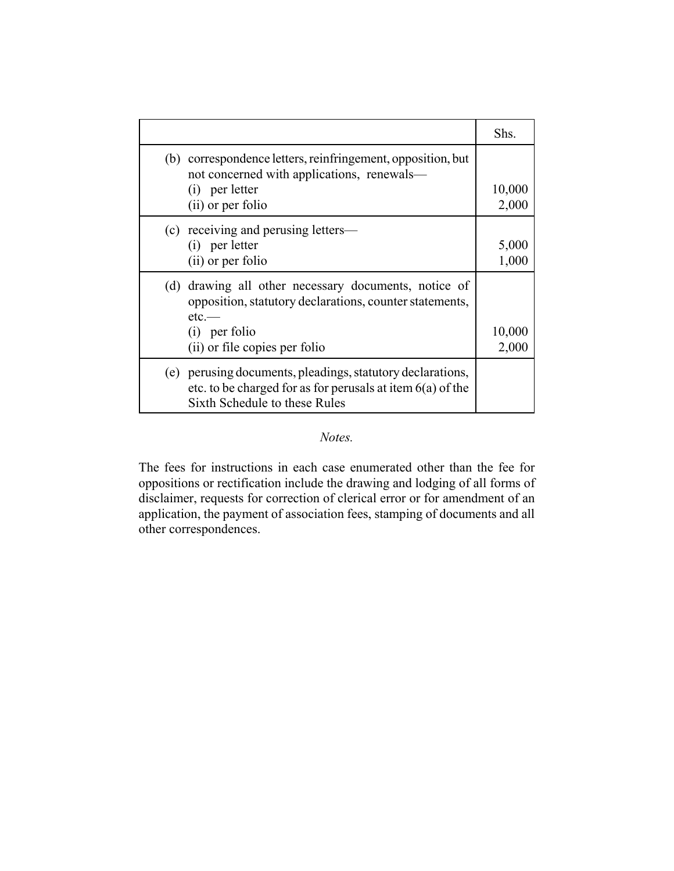|                                                                                                                                                                                    | Shs.            |
|------------------------------------------------------------------------------------------------------------------------------------------------------------------------------------|-----------------|
| (b) correspondence letters, reinfringement, opposition, but<br>not concerned with applications, renewals-<br>(i) per letter<br>(ii) or per folio                                   | 10,000<br>2,000 |
| (c) receiving and perusing letters—<br>(i) per letter<br>(ii) or per folio                                                                                                         | 5,000<br>1,000  |
| drawing all other necessary documents, notice of<br>(d)<br>opposition, statutory declarations, counter statements,<br>$etc.$ —<br>$(i)$ per folio<br>(ii) or file copies per folio | 10,000<br>2,000 |
| (e) perusing documents, pleadings, statutory declarations,<br>etc. to be charged for as for perusals at item $6(a)$ of the<br>Sixth Schedule to these Rules                        |                 |

## *Notes.*

The fees for instructions in each case enumerated other than the fee for oppositions or rectification include the drawing and lodging of all forms of disclaimer, requests for correction of clerical error or for amendment of an application, the payment of association fees, stamping of documents and all other correspondences.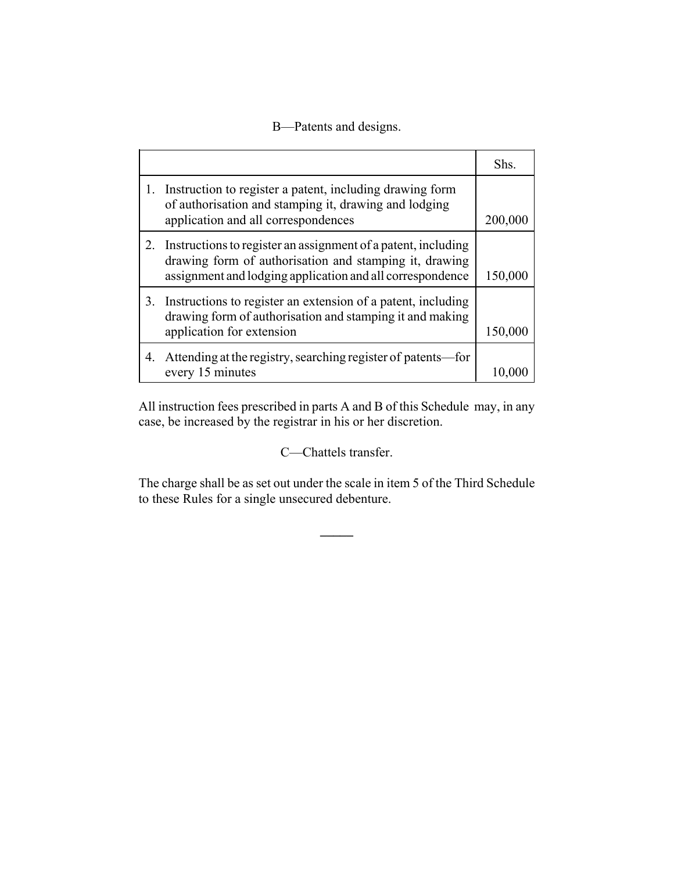## B—Patents and designs.

|    |                                                                                                                                                                                      | Shs.    |
|----|--------------------------------------------------------------------------------------------------------------------------------------------------------------------------------------|---------|
|    | Instruction to register a patent, including drawing form<br>of authorisation and stamping it, drawing and lodging<br>application and all correspondences                             | 200,000 |
| 2. | Instructions to register an assignment of a patent, including<br>drawing form of authorisation and stamping it, drawing<br>assignment and lodging application and all correspondence | 150,000 |
| 3. | Instructions to register an extension of a patent, including<br>drawing form of authorisation and stamping it and making<br>application for extension                                | 150,000 |
| 4. | Attending at the registry, searching register of patents—for<br>every 15 minutes                                                                                                     |         |

All instruction fees prescribed in parts A and B of this Schedule may, in any case, be increased by the registrar in his or her discretion.

C—Chattels transfer.

The charge shall be as set out under the scale in item 5 of the Third Schedule to these Rules for a single unsecured debenture.

**\_\_\_\_\_**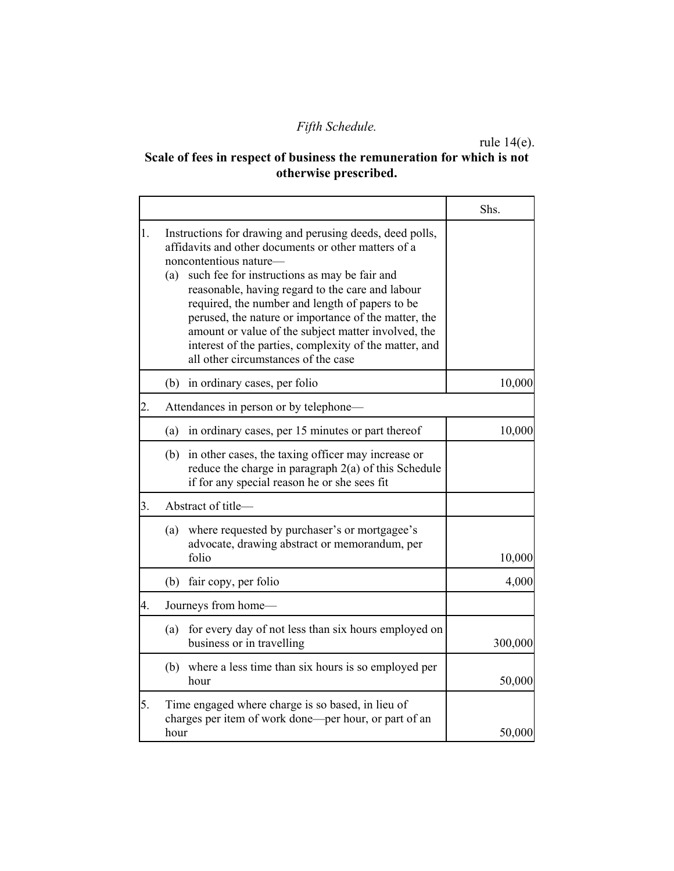# *Fifth Schedule.*

rule 14(e).

# **Scale of fees in respect of business the remuneration for which is not otherwise prescribed.**

|    |                                                                                                                                                                                                                                                                                                                                                                                                                                                                                                                          | Shs.    |
|----|--------------------------------------------------------------------------------------------------------------------------------------------------------------------------------------------------------------------------------------------------------------------------------------------------------------------------------------------------------------------------------------------------------------------------------------------------------------------------------------------------------------------------|---------|
| 1. | Instructions for drawing and perusing deeds, deed polls,<br>affidavits and other documents or other matters of a<br>noncontentious nature-<br>such fee for instructions as may be fair and<br>(a)<br>reasonable, having regard to the care and labour<br>required, the number and length of papers to be<br>perused, the nature or importance of the matter, the<br>amount or value of the subject matter involved, the<br>interest of the parties, complexity of the matter, and<br>all other circumstances of the case |         |
|    | (b) in ordinary cases, per folio                                                                                                                                                                                                                                                                                                                                                                                                                                                                                         | 10,000  |
| 2. | Attendances in person or by telephone—                                                                                                                                                                                                                                                                                                                                                                                                                                                                                   |         |
|    | in ordinary cases, per 15 minutes or part thereof<br>(a)                                                                                                                                                                                                                                                                                                                                                                                                                                                                 | 10,000  |
|    | (b) in other cases, the taxing officer may increase or<br>reduce the charge in paragraph $2(a)$ of this Schedule<br>if for any special reason he or she sees fit                                                                                                                                                                                                                                                                                                                                                         |         |
| 3. | Abstract of title-                                                                                                                                                                                                                                                                                                                                                                                                                                                                                                       |         |
|    | where requested by purchaser's or mortgagee's<br>(a)<br>advocate, drawing abstract or memorandum, per<br>folio                                                                                                                                                                                                                                                                                                                                                                                                           | 10,000  |
|    | fair copy, per folio<br>(b)                                                                                                                                                                                                                                                                                                                                                                                                                                                                                              | 4,000   |
| 4. | Journeys from home-                                                                                                                                                                                                                                                                                                                                                                                                                                                                                                      |         |
|    | for every day of not less than six hours employed on<br>(a)<br>business or in travelling                                                                                                                                                                                                                                                                                                                                                                                                                                 | 300,000 |
|    | (b) where a less time than six hours is so employed per<br>hour                                                                                                                                                                                                                                                                                                                                                                                                                                                          | 50,000  |
| 5. | Time engaged where charge is so based, in lieu of<br>charges per item of work done—per hour, or part of an<br>hour                                                                                                                                                                                                                                                                                                                                                                                                       | 50,000  |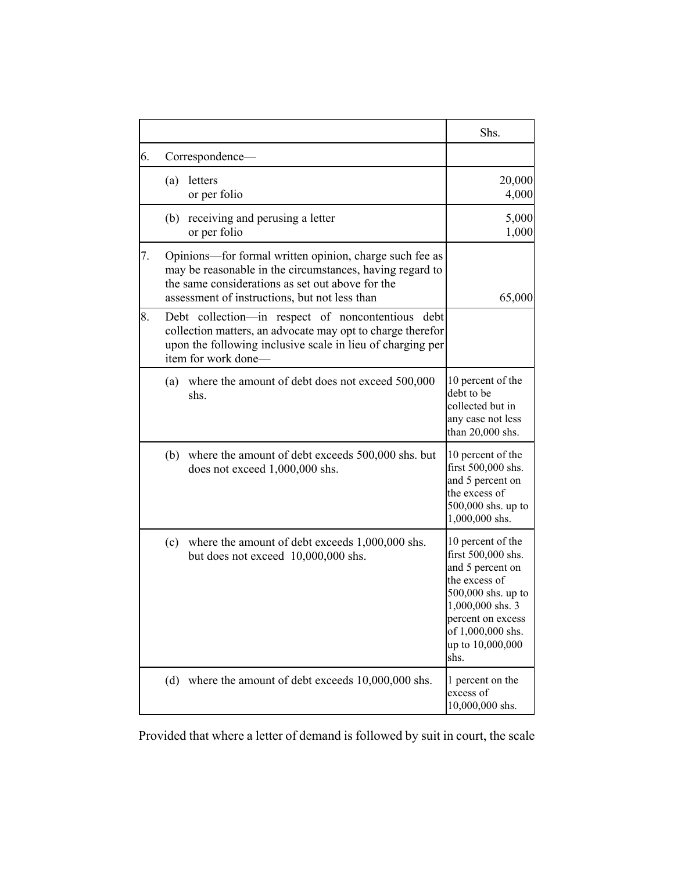|    |                                                                                                                                                                                                                          | Shs.                                                                                                                                                                                         |
|----|--------------------------------------------------------------------------------------------------------------------------------------------------------------------------------------------------------------------------|----------------------------------------------------------------------------------------------------------------------------------------------------------------------------------------------|
| 6. | Correspondence-                                                                                                                                                                                                          |                                                                                                                                                                                              |
|    | letters<br>(a)<br>or per folio                                                                                                                                                                                           | 20,000<br>4,000                                                                                                                                                                              |
|    | receiving and perusing a letter<br>(b)<br>or per folio                                                                                                                                                                   | 5,000<br>1,000                                                                                                                                                                               |
| 7. | Opinions—for formal written opinion, charge such fee as<br>may be reasonable in the circumstances, having regard to<br>the same considerations as set out above for the<br>assessment of instructions, but not less than | 65,000                                                                                                                                                                                       |
| 8. | Debt collection—in respect of noncontentious<br>debt<br>collection matters, an advocate may opt to charge therefor<br>upon the following inclusive scale in lieu of charging per<br>item for work done—                  |                                                                                                                                                                                              |
|    | where the amount of debt does not exceed 500,000<br>(a)<br>shs.                                                                                                                                                          | 10 percent of the<br>debt to be<br>collected but in<br>any case not less<br>than 20,000 shs.                                                                                                 |
|    | (b) where the amount of debt exceeds 500,000 shs. but<br>does not exceed 1,000,000 shs.                                                                                                                                  | 10 percent of the<br>first 500,000 shs.<br>and 5 percent on<br>the excess of<br>500,000 shs. up to<br>1,000,000 shs.                                                                         |
|    | where the amount of debt exceeds 1,000,000 shs.<br>(c)<br>but does not exceed 10,000,000 shs.                                                                                                                            | 10 percent of the<br>first 500,000 shs.<br>and 5 percent on<br>the excess of<br>500,000 shs. up to<br>1,000,000 shs. 3<br>percent on excess<br>of 1,000,000 shs.<br>up to 10,000,000<br>shs. |
|    | where the amount of debt exceeds 10,000,000 shs.<br>(d)                                                                                                                                                                  | 1 percent on the<br>excess of<br>10,000,000 shs.                                                                                                                                             |

Provided that where a letter of demand is followed by suit in court, the scale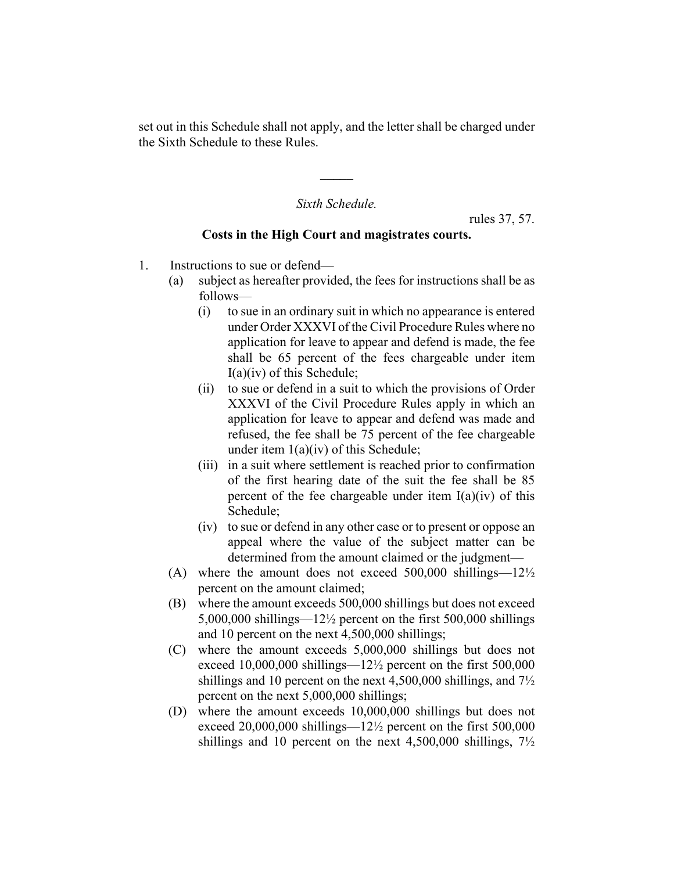set out in this Schedule shall not apply, and the letter shall be charged under the Sixth Schedule to these Rules.

#### *Sixth Schedule.*

**\_\_\_\_\_**

rules 37, 57.

#### **Costs in the High Court and magistrates courts.**

- 1. Instructions to sue or defend—
	- (a) subject as hereafter provided, the fees for instructions shall be as follows—
		- (i) to sue in an ordinary suit in which no appearance is entered under Order XXXVI of the Civil Procedure Rules where no application for leave to appear and defend is made, the fee shall be 65 percent of the fees chargeable under item I(a)(iv) of this Schedule;
		- (ii) to sue or defend in a suit to which the provisions of Order XXXVI of the Civil Procedure Rules apply in which an application for leave to appear and defend was made and refused, the fee shall be 75 percent of the fee chargeable under item 1(a)(iv) of this Schedule;
		- (iii) in a suit where settlement is reached prior to confirmation of the first hearing date of the suit the fee shall be 85 percent of the fee chargeable under item  $I(a)(iv)$  of this Schedule;
		- (iv) to sue or defend in any other case or to present or oppose an appeal where the value of the subject matter can be determined from the amount claimed or the judgment—
	- (A) where the amount does not exceed  $500,000$  shillings— $12\frac{1}{2}$ percent on the amount claimed;
	- (B) where the amount exceeds 500,000 shillings but does not exceed 5,000,000 shillings—12½ percent on the first 500,000 shillings and 10 percent on the next 4,500,000 shillings;
	- (C) where the amount exceeds 5,000,000 shillings but does not exceed 10,000,000 shillings—12½ percent on the first 500,000 shillings and 10 percent on the next 4,500,000 shillings, and 7½ percent on the next 5,000,000 shillings;
	- (D) where the amount exceeds 10,000,000 shillings but does not exceed  $20,000,000$  shillings— $12\frac{1}{2}$  percent on the first 500,000 shillings and 10 percent on the next  $4,500,000$  shillings,  $7\frac{1}{2}$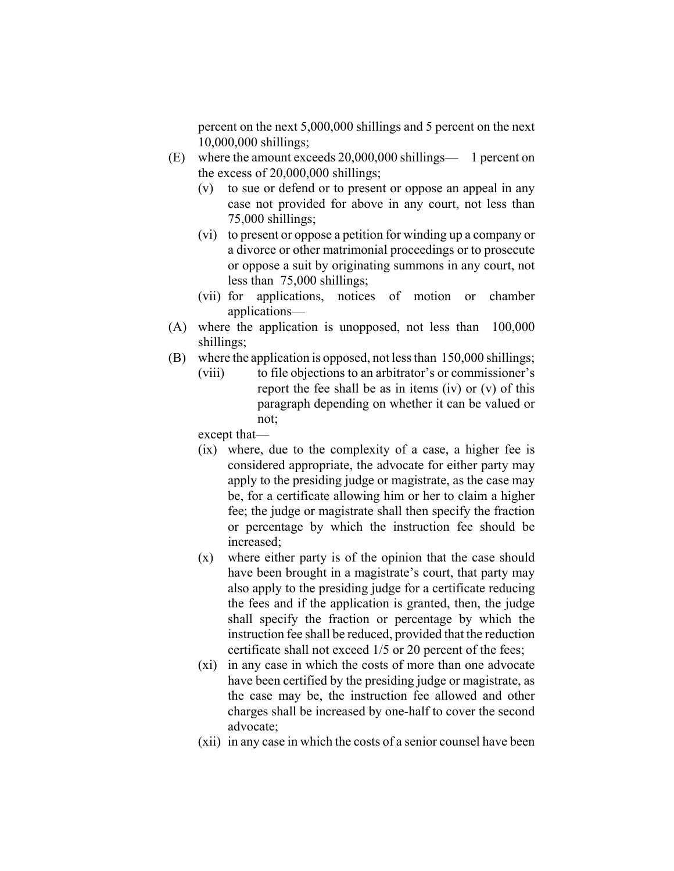percent on the next 5,000,000 shillings and 5 percent on the next 10,000,000 shillings;

- (E) where the amount exceeds 20,000,000 shillings— 1 percent on the excess of 20,000,000 shillings;
	- (v) to sue or defend or to present or oppose an appeal in any case not provided for above in any court, not less than 75,000 shillings;
	- (vi) to present or oppose a petition for winding up a company or a divorce or other matrimonial proceedings or to prosecute or oppose a suit by originating summons in any court, not less than 75,000 shillings;
	- (vii) for applications, notices of motion or chamber applications—
- (A) where the application is unopposed, not less than 100,000 shillings;
- (B) where the application is opposed, not less than 150,000 shillings;
	- (viii) to file objections to an arbitrator's or commissioner's report the fee shall be as in items (iv) or (v) of this paragraph depending on whether it can be valued or not;

except that—

- (ix) where, due to the complexity of a case, a higher fee is considered appropriate, the advocate for either party may apply to the presiding judge or magistrate, as the case may be, for a certificate allowing him or her to claim a higher fee; the judge or magistrate shall then specify the fraction or percentage by which the instruction fee should be increased;
- (x) where either party is of the opinion that the case should have been brought in a magistrate's court, that party may also apply to the presiding judge for a certificate reducing the fees and if the application is granted, then, the judge shall specify the fraction or percentage by which the instruction fee shall be reduced, provided that the reduction certificate shall not exceed 1/5 or 20 percent of the fees;
- (xi) in any case in which the costs of more than one advocate have been certified by the presiding judge or magistrate, as the case may be, the instruction fee allowed and other charges shall be increased by one-half to cover the second advocate;
- (xii) in any case in which the costs of a senior counsel have been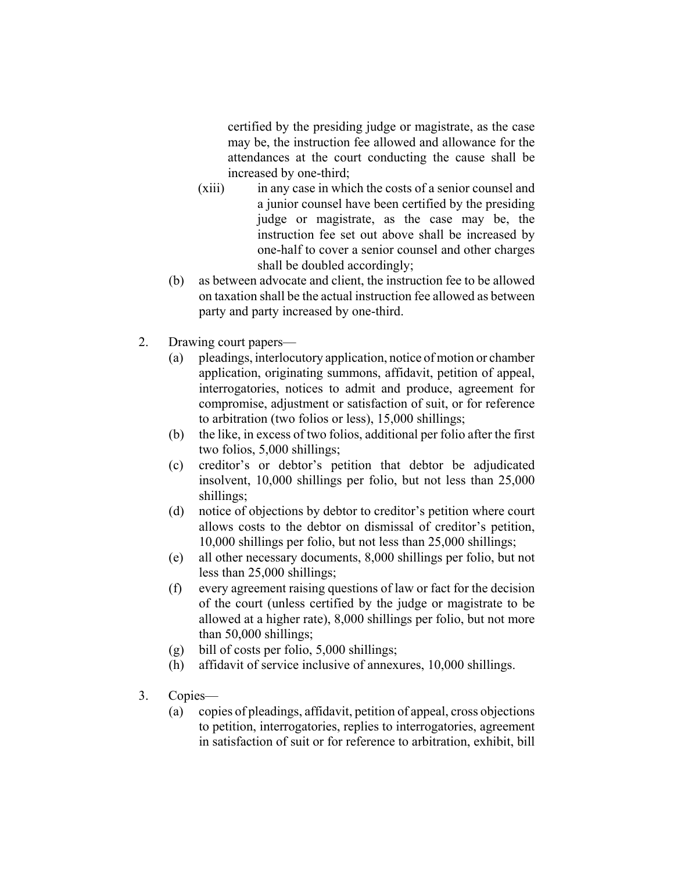certified by the presiding judge or magistrate, as the case may be, the instruction fee allowed and allowance for the attendances at the court conducting the cause shall be increased by one-third;

- (xiii) in any case in which the costs of a senior counsel and a junior counsel have been certified by the presiding judge or magistrate, as the case may be, the instruction fee set out above shall be increased by one-half to cover a senior counsel and other charges shall be doubled accordingly;
- (b) as between advocate and client, the instruction fee to be allowed on taxation shall be the actual instruction fee allowed as between party and party increased by one-third.
- 2. Drawing court papers—
	- (a) pleadings, interlocutory application, notice of motion or chamber application, originating summons, affidavit, petition of appeal, interrogatories, notices to admit and produce, agreement for compromise, adjustment or satisfaction of suit, or for reference to arbitration (two folios or less), 15,000 shillings;
	- (b) the like, in excess of two folios, additional per folio after the first two folios, 5,000 shillings;
	- (c) creditor's or debtor's petition that debtor be adjudicated insolvent, 10,000 shillings per folio, but not less than 25,000 shillings;
	- (d) notice of objections by debtor to creditor's petition where court allows costs to the debtor on dismissal of creditor's petition, 10,000 shillings per folio, but not less than 25,000 shillings;
	- (e) all other necessary documents, 8,000 shillings per folio, but not less than 25,000 shillings;
	- (f) every agreement raising questions of law or fact for the decision of the court (unless certified by the judge or magistrate to be allowed at a higher rate), 8,000 shillings per folio, but not more than 50,000 shillings;
	- (g) bill of costs per folio, 5,000 shillings;
	- (h) affidavit of service inclusive of annexures, 10,000 shillings.
- 3. Copies—
	- (a) copies of pleadings, affidavit, petition of appeal, cross objections to petition, interrogatories, replies to interrogatories, agreement in satisfaction of suit or for reference to arbitration, exhibit, bill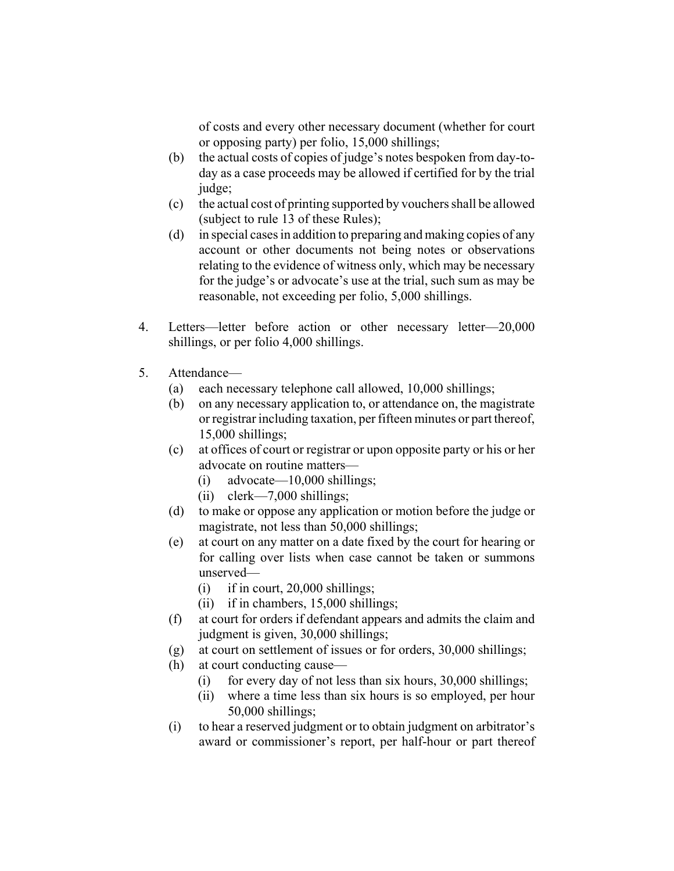of costs and every other necessary document (whether for court or opposing party) per folio, 15,000 shillings;

- (b) the actual costs of copies of judge's notes bespoken from day-today as a case proceeds may be allowed if certified for by the trial judge;
- (c) the actual cost of printing supported by vouchers shall be allowed (subject to rule 13 of these Rules);
- (d) in special cases in addition to preparing and making copies of any account or other documents not being notes or observations relating to the evidence of witness only, which may be necessary for the judge's or advocate's use at the trial, such sum as may be reasonable, not exceeding per folio, 5,000 shillings.
- 4. Letters—letter before action or other necessary letter—20,000 shillings, or per folio 4,000 shillings.
- 5. Attendance—
	- (a) each necessary telephone call allowed, 10,000 shillings;
	- (b) on any necessary application to, or attendance on, the magistrate or registrar including taxation, per fifteen minutes or part thereof, 15,000 shillings;
	- (c) at offices of court or registrar or upon opposite party or his or her advocate on routine matters—
		- (i) advocate—10,000 shillings;
		- (ii) clerk—7,000 shillings;
	- (d) to make or oppose any application or motion before the judge or magistrate, not less than 50,000 shillings;
	- (e) at court on any matter on a date fixed by the court for hearing or for calling over lists when case cannot be taken or summons unserved—
		- $(i)$  if in court, 20,000 shillings;
		- (ii) if in chambers, 15,000 shillings;
	- (f) at court for orders if defendant appears and admits the claim and judgment is given, 30,000 shillings;
	- (g) at court on settlement of issues or for orders, 30,000 shillings;
	- (h) at court conducting cause—
		- (i) for every day of not less than six hours, 30,000 shillings;
		- (ii) where a time less than six hours is so employed, per hour 50,000 shillings;
	- (i) to hear a reserved judgment or to obtain judgment on arbitrator's award or commissioner's report, per half-hour or part thereof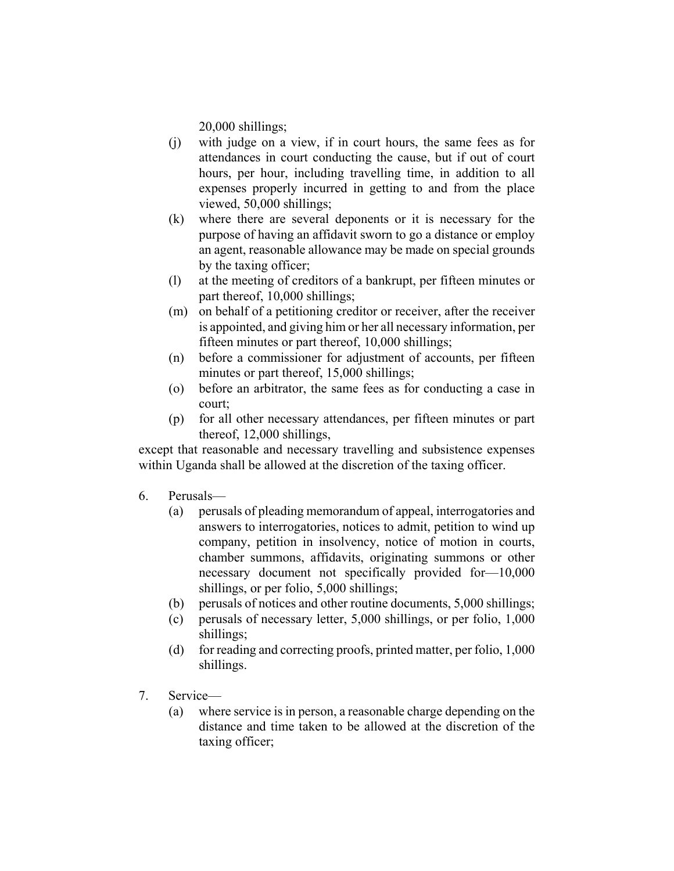20,000 shillings;

- (j) with judge on a view, if in court hours, the same fees as for attendances in court conducting the cause, but if out of court hours, per hour, including travelling time, in addition to all expenses properly incurred in getting to and from the place viewed, 50,000 shillings;
- (k) where there are several deponents or it is necessary for the purpose of having an affidavit sworn to go a distance or employ an agent, reasonable allowance may be made on special grounds by the taxing officer;
- (l) at the meeting of creditors of a bankrupt, per fifteen minutes or part thereof, 10,000 shillings;
- (m) on behalf of a petitioning creditor or receiver, after the receiver is appointed, and giving him or her all necessary information, per fifteen minutes or part thereof, 10,000 shillings;
- (n) before a commissioner for adjustment of accounts, per fifteen minutes or part thereof, 15,000 shillings;
- (o) before an arbitrator, the same fees as for conducting a case in court;
- (p) for all other necessary attendances, per fifteen minutes or part thereof, 12,000 shillings,

except that reasonable and necessary travelling and subsistence expenses within Uganda shall be allowed at the discretion of the taxing officer.

- 6. Perusals—
	- (a) perusals of pleading memorandum of appeal, interrogatories and answers to interrogatories, notices to admit, petition to wind up company, petition in insolvency, notice of motion in courts, chamber summons, affidavits, originating summons or other necessary document not specifically provided for—10,000 shillings, or per folio, 5,000 shillings;
	- (b) perusals of notices and other routine documents, 5,000 shillings;
	- (c) perusals of necessary letter, 5,000 shillings, or per folio, 1,000 shillings;
	- (d) for reading and correcting proofs, printed matter, per folio, 1,000 shillings.
- 7. Service—
	- (a) where service is in person, a reasonable charge depending on the distance and time taken to be allowed at the discretion of the taxing officer;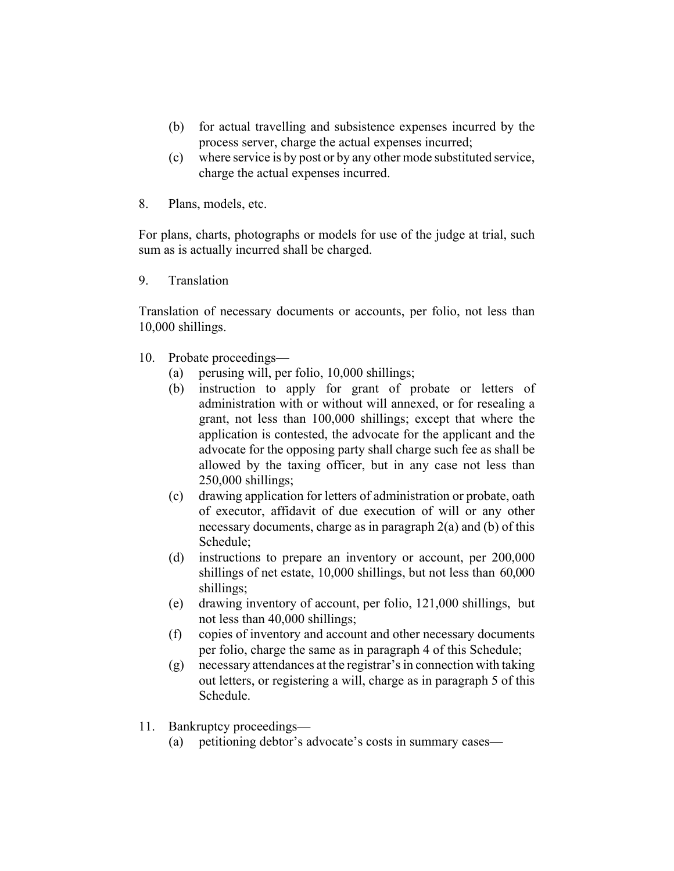- (b) for actual travelling and subsistence expenses incurred by the process server, charge the actual expenses incurred;
- (c) where service is by post or by any other mode substituted service, charge the actual expenses incurred.
- 8. Plans, models, etc.

For plans, charts, photographs or models for use of the judge at trial, such sum as is actually incurred shall be charged.

9. Translation

Translation of necessary documents or accounts, per folio, not less than 10,000 shillings.

- 10. Probate proceedings—
	- (a) perusing will, per folio, 10,000 shillings;
	- (b) instruction to apply for grant of probate or letters of administration with or without will annexed, or for resealing a grant, not less than 100,000 shillings; except that where the application is contested, the advocate for the applicant and the advocate for the opposing party shall charge such fee as shall be allowed by the taxing officer, but in any case not less than 250,000 shillings;
	- (c) drawing application for letters of administration or probate, oath of executor, affidavit of due execution of will or any other necessary documents, charge as in paragraph 2(a) and (b) of this Schedule;
	- (d) instructions to prepare an inventory or account, per 200,000 shillings of net estate, 10,000 shillings, but not less than 60,000 shillings;
	- (e) drawing inventory of account, per folio, 121,000 shillings, but not less than 40,000 shillings;
	- (f) copies of inventory and account and other necessary documents per folio, charge the same as in paragraph 4 of this Schedule;
	- (g) necessary attendances at the registrar's in connection with taking out letters, or registering a will, charge as in paragraph 5 of this Schedule.
- 11. Bankruptcy proceedings—
	- (a) petitioning debtor's advocate's costs in summary cases—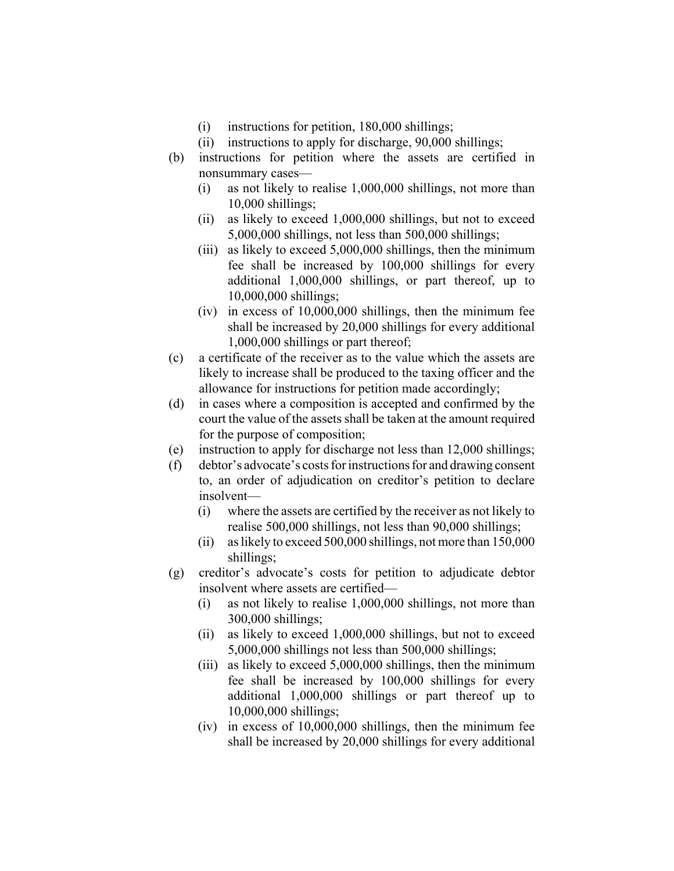- (i) instructions for petition, 180,000 shillings;
- (ii) instructions to apply for discharge, 90,000 shillings;
- (b) instructions for petition where the assets are certified in nonsummary cases—
	- (i) as not likely to realise 1,000,000 shillings, not more than 10,000 shillings;
	- (ii) as likely to exceed 1,000,000 shillings, but not to exceed 5,000,000 shillings, not less than 500,000 shillings;
	- (iii) as likely to exceed 5,000,000 shillings, then the minimum fee shall be increased by 100,000 shillings for every additional 1,000,000 shillings, or part thereof, up to 10,000,000 shillings;
	- (iv) in excess of 10,000,000 shillings, then the minimum fee shall be increased by 20,000 shillings for every additional 1,000,000 shillings or part thereof;
- (c) a certificate of the receiver as to the value which the assets are likely to increase shall be produced to the taxing officer and the allowance for instructions for petition made accordingly;
- (d) in cases where a composition is accepted and confirmed by the court the value of the assets shall be taken at the amount required for the purpose of composition;
- (e) instruction to apply for discharge not less than 12,000 shillings;
- (f) debtor's advocate's costs for instructions for and drawing consent to, an order of adjudication on creditor's petition to declare insolvent—
	- (i) where the assets are certified by the receiver as not likely to realise 500,000 shillings, not less than 90,000 shillings;
	- (ii) as likely to exceed 500,000 shillings, not more than 150,000 shillings;
- (g) creditor's advocate's costs for petition to adjudicate debtor insolvent where assets are certified—
	- (i) as not likely to realise 1,000,000 shillings, not more than 300,000 shillings;
	- (ii) as likely to exceed 1,000,000 shillings, but not to exceed 5,000,000 shillings not less than 500,000 shillings;
	- (iii) as likely to exceed 5,000,000 shillings, then the minimum fee shall be increased by 100,000 shillings for every additional 1,000,000 shillings or part thereof up to 10,000,000 shillings;
	- (iv) in excess of 10,000,000 shillings, then the minimum fee shall be increased by 20,000 shillings for every additional